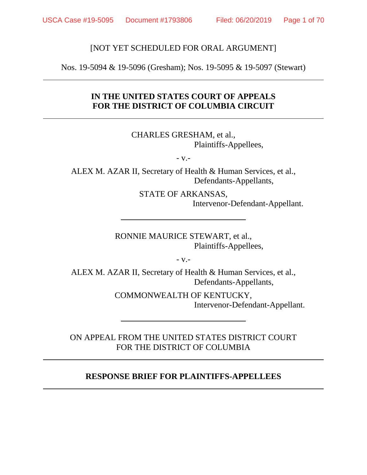### [NOT YET SCHEDULED FOR ORAL ARGUMENT]

Nos. 19-5094 & 19-5096 (Gresham); Nos. 19-5095 & 19-5097 (Stewart)

# **IN THE UNITED STATES COURT OF APPEALS FOR THE DISTRICT OF COLUMBIA CIRCUIT**

CHARLES GRESHAM, et al., Plaintiffs-Appellees,

- v.-

ALEX M. AZAR II, Secretary of Health & Human Services, et al., Defendants-Appellants,

> STATE OF ARKANSAS, Intervenor-Defendant-Appellant.

RONNIE MAURICE STEWART, et al., Plaintiffs-Appellees,

- v.-

ALEX M. AZAR II, Secretary of Health & Human Services, et al., Defendants-Appellants,

> COMMONWEALTH OF KENTUCKY, Intervenor-Defendant-Appellant.

ON APPEAL FROM THE UNITED STATES DISTRICT COURT FOR THE DISTRICT OF COLUMBIA

### **RESPONSE BRIEF FOR PLAINTIFFS-APPELLEES**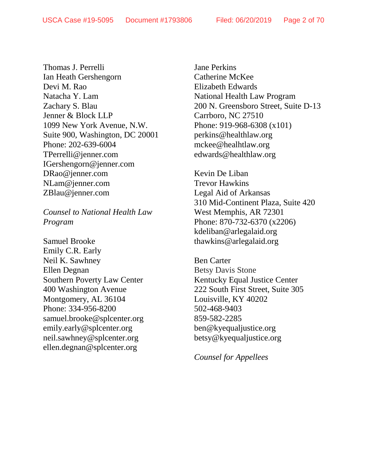Thomas J. Perrelli Ian Heath Gershengorn Devi M. Rao Natacha Y. Lam Zachary S. Blau Jenner & Block LLP 1099 New York Avenue, N.W. Suite 900, Washington, DC 20001 Phone: 202-639-6004 TPerrelli@jenner.com IGershengorn@jenner.com DRao@jenner.com NLam@jenner.com ZBlau@jenner.com

*Counsel to National Health Law Program*

Samuel Brooke Emily C.R. Early Neil K. Sawhney Ellen Degnan Southern Poverty Law Center 400 Washington Avenue Montgomery, AL 36104 Phone: 334-956-8200 samuel.brooke@splcenter.org emily.early@splcenter.org neil.sawhney@splcenter.org ellen.degnan@splcenter.org

Jane Perkins Catherine McKee Elizabeth Edwards National Health Law Program 200 N. Greensboro Street, Suite D-13 Carrboro, NC 27510 Phone: 919-968-6308 (x101) perkins@healthlaw.org mckee@healhtlaw.org edwards@healthlaw.org

Kevin De Liban Trevor Hawkins Legal Aid of Arkansas 310 Mid-Continent Plaza, Suite 420 West Memphis, AR 72301 Phone: 870-732-6370 (x2206) [kdeliban@arlegalaid.org](mailto:kdeliban@arlegalaid.org) thawkins@arlegalaid.org

Ben Carter Betsy Davis Stone Kentucky Equal Justice Center 222 South First Street, Suite 305 Louisville, KY 40202 502-468-9403 859-582-2285 ben@kyequaljustice.org betsy@kyequaljustice.org

*Counsel for Appellees*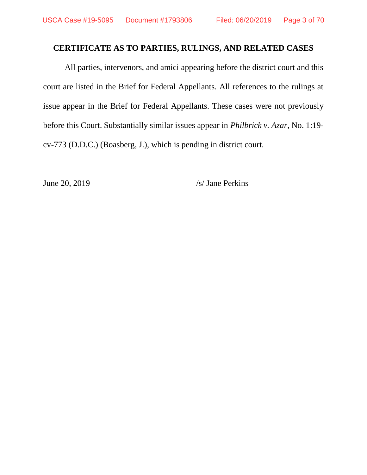# **CERTIFICATE AS TO PARTIES, RULINGS, AND RELATED CASES**

All parties, intervenors, and amici appearing before the district court and this court are listed in the Brief for Federal Appellants. All references to the rulings at issue appear in the Brief for Federal Appellants. These cases were not previously before this Court. Substantially similar issues appear in *Philbrick v. Azar*, No. 1:19 cv-773 (D.D.C.) (Boasberg, J.), which is pending in district court.

June 20, 2019 /s/ Jane Perkins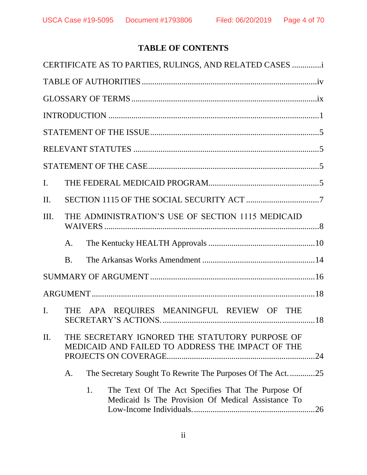# **TABLE OF CONTENTS**

|                |           |    | CERTIFICATE AS TO PARTIES, RULINGS, AND RELATED CASES                                                   |     |
|----------------|-----------|----|---------------------------------------------------------------------------------------------------------|-----|
|                |           |    |                                                                                                         |     |
|                |           |    |                                                                                                         |     |
|                |           |    |                                                                                                         |     |
|                |           |    |                                                                                                         |     |
|                |           |    |                                                                                                         |     |
|                |           |    |                                                                                                         |     |
| $\mathbf{I}$ . |           |    |                                                                                                         |     |
| II.            |           |    |                                                                                                         |     |
| Ш.             |           |    | THE ADMINISTRATION'S USE OF SECTION 1115 MEDICAID                                                       |     |
|                | A.        |    |                                                                                                         |     |
|                | <b>B.</b> |    |                                                                                                         |     |
|                |           |    |                                                                                                         |     |
|                |           |    |                                                                                                         |     |
| I.             |           |    | THE APA REQUIRES MEANINGFUL REVIEW OF THE                                                               |     |
| Π.             |           |    | THE SECRETARY IGNORED THE STATUTORY PURPOSE OF<br>MEDICAID AND FAILED TO ADDRESS THE IMPACT OF THE      | .24 |
|                | A.        |    | The Secretary Sought To Rewrite The Purposes Of The Act25                                               |     |
|                |           | 1. | The Text Of The Act Specifies That The Purpose Of<br>Medicaid Is The Provision Of Medical Assistance To | .26 |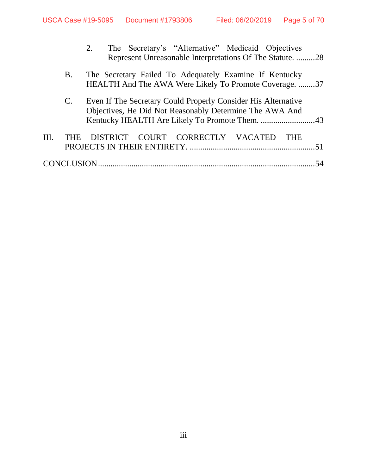|     |                | The Secretary's "Alternative" Medicaid Objectives<br>2.<br>Represent Unreasonable Interpretations Of The Statute. 28     |    |
|-----|----------------|--------------------------------------------------------------------------------------------------------------------------|----|
|     | <b>B.</b>      | The Secretary Failed To Adequately Examine If Kentucky<br>HEALTH And The AWA Were Likely To Promote Coverage. 37         |    |
|     | $\mathbf{C}$ . | Even If The Secretary Could Properly Consider His Alternative<br>Objectives, He Did Not Reasonably Determine The AWA And |    |
| HL. | <b>THE</b>     | DISTRICT COURT CORRECTLY VACATED<br><b>THE</b>                                                                           |    |
|     |                |                                                                                                                          | 54 |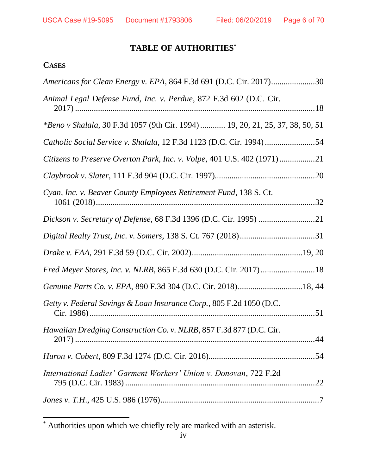# **TABLE OF AUTHORITIES\***

# **CASES**

l

| Americans for Clean Energy v. EPA, 864 F.3d 691 (D.C. Cir. 2017)30                   |  |
|--------------------------------------------------------------------------------------|--|
| Animal Legal Defense Fund, Inc. v. Perdue, 872 F.3d 602 (D.C. Cir.                   |  |
| <i>*Beno v Shalala, 30 F.3d 1057 (9th Cir. 1994)  19, 20, 21, 25, 37, 38, 50, 51</i> |  |
| Catholic Social Service v. Shalala, 12 F.3d 1123 (D.C. Cir. 1994)                    |  |
| Citizens to Preserve Overton Park, Inc. v. Volpe, 401 U.S. 402 (1971)21              |  |
|                                                                                      |  |
| Cyan, Inc. v. Beaver County Employees Retirement Fund, 138 S. Ct.                    |  |
|                                                                                      |  |
|                                                                                      |  |
|                                                                                      |  |
|                                                                                      |  |
|                                                                                      |  |
| Getty v. Federal Savings & Loan Insurance Corp., 805 F.2d 1050 (D.C.                 |  |
| Hawaiian Dredging Construction Co. v. NLRB, 857 F.3d 877 (D.C. Cir.                  |  |
|                                                                                      |  |
| International Ladies' Garment Workers' Union v. Donovan, 722 F.2d                    |  |
|                                                                                      |  |

<sup>\*</sup> Authorities upon which we chiefly rely are marked with an asterisk.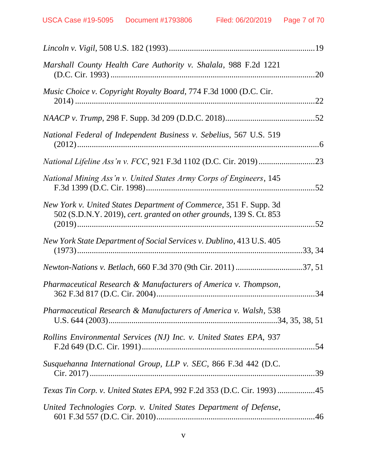| Marshall County Health Care Authority v. Shalala, 988 F.2d 1221                                                                          | .20 |
|------------------------------------------------------------------------------------------------------------------------------------------|-----|
| Music Choice v. Copyright Royalty Board, 774 F.3d 1000 (D.C. Cir.                                                                        | .22 |
|                                                                                                                                          |     |
| National Federal of Independent Business v. Sebelius, 567 U.S. 519                                                                       |     |
|                                                                                                                                          |     |
| National Mining Ass'n v. United States Army Corps of Engineers, 145                                                                      |     |
| New York v. United States Department of Commerce, 351 F. Supp. 3d<br>502 (S.D.N.Y. 2019), cert. granted on other grounds, 139 S. Ct. 853 |     |
| New York State Department of Social Services v. Dublino, 413 U.S. 405                                                                    |     |
|                                                                                                                                          |     |
| Pharmaceutical Research & Manufacturers of America v. Thompson,                                                                          |     |
| Pharmaceutical Research & Manufacturers of America v. Walsh, 538                                                                         |     |
| Rollins Environmental Services (NJ) Inc. v. United States EPA, 937                                                                       |     |
| Susquehanna International Group, LLP v. SEC, 866 F.3d 442 (D.C.                                                                          |     |
| <i>Texas Tin Corp. v. United States EPA, 992 F.2d 353 (D.C. Cir. 1993) 45</i>                                                            |     |
| United Technologies Corp. v. United States Department of Defense,                                                                        |     |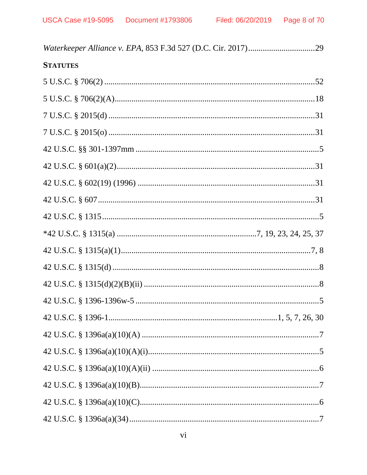# **STATUTES**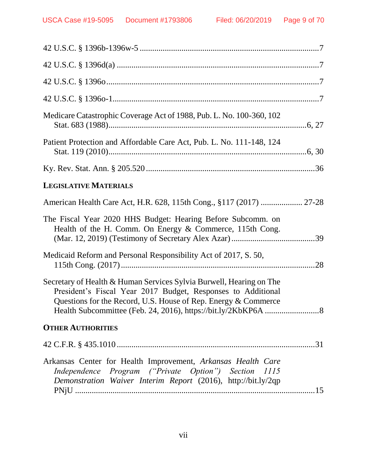| Medicare Catastrophic Coverage Act of 1988, Pub. L. No. 100-360, 102                                                                                                                                  |  |
|-------------------------------------------------------------------------------------------------------------------------------------------------------------------------------------------------------|--|
| Patient Protection and Affordable Care Act, Pub. L. No. 111-148, 124                                                                                                                                  |  |
|                                                                                                                                                                                                       |  |
| <b>LEGISLATIVE MATERIALS</b>                                                                                                                                                                          |  |
| American Health Care Act, H.R. 628, 115th Cong., §117 (2017)  27-28                                                                                                                                   |  |
| The Fiscal Year 2020 HHS Budget: Hearing Before Subcomm. on<br>Health of the H. Comm. On Energy & Commerce, 115th Cong.                                                                               |  |
| Medicaid Reform and Personal Responsibility Act of 2017, S. 50,                                                                                                                                       |  |
| Secretary of Health & Human Services Sylvia Burwell, Hearing on The<br>President's Fiscal Year 2017 Budget, Responses to Additional<br>Questions for the Record, U.S. House of Rep. Energy & Commerce |  |
| <b>OTHER AUTHORITIES</b>                                                                                                                                                                              |  |
|                                                                                                                                                                                                       |  |
| Arkansas Center for Health Improvement, Arkansas Health Care<br>Independence Program ("Private Option") Section 1115<br>Demonstration Waiver Interim Report (2016), http://bit.ly/2qp                 |  |
|                                                                                                                                                                                                       |  |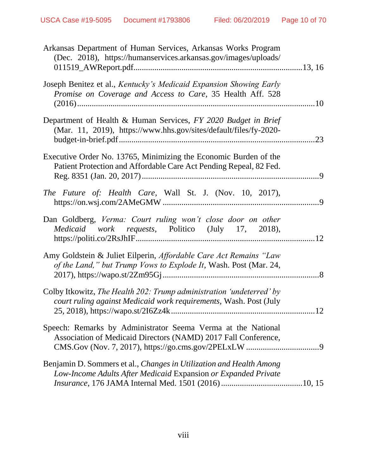| Arkansas Department of Human Services, Arkansas Works Program<br>(Dec. 2018), https://humanservices.arkansas.gov/images/uploads/                                                |     |
|---------------------------------------------------------------------------------------------------------------------------------------------------------------------------------|-----|
| Joseph Benitez et al., Kentucky's Medicaid Expansion Showing Early<br>Promise on Coverage and Access to Care, 35 Health Aff. 528                                                |     |
| Department of Health & Human Services, FY 2020 Budget in Brief<br>(Mar. 11, 2019), https://www.hhs.gov/sites/default/files/fy-2020-                                             | .23 |
| Executive Order No. 13765, Minimizing the Economic Burden of the<br>Patient Protection and Affordable Care Act Pending Repeal, 82 Fed.                                          |     |
| <i>The Future of: Health Care, Wall St. J. (Nov. 10, 2017),</i>                                                                                                                 |     |
| Dan Goldberg, Verma: Court ruling won't close door on other<br><i>Medicaid work requests</i> , Politico (July 17, 2018),                                                        | .12 |
| Amy Goldstein & Juliet Eilperin, Affordable Care Act Remains "Law<br>of the Land," but Trump Vows to Explode It, Wash. Post (Mar. 24,                                           |     |
| Colby Itkowitz, The Health 202: Trump administration 'undeterred' by<br>court ruling against Medicaid work requirements, Wash. Post (July<br>25, 2018), https://wapo.st/2I6Zz4k | 12  |
| Speech: Remarks by Administrator Seema Verma at the National<br>Association of Medicaid Directors (NAMD) 2017 Fall Conference,                                                  |     |
| Benjamin D. Sommers et al., Changes in Utilization and Health Among<br>Low-Income Adults After Medicaid Expansion or Expanded Private                                           |     |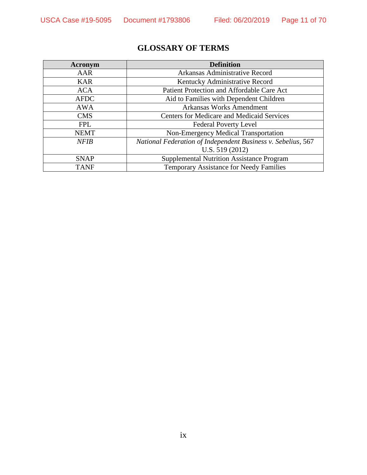# **GLOSSARY OF TERMS**

| Acronym     | <b>Definition</b>                                            |
|-------------|--------------------------------------------------------------|
| AAR         | Arkansas Administrative Record                               |
| <b>KAR</b>  | Kentucky Administrative Record                               |
| <b>ACA</b>  | Patient Protection and Affordable Care Act                   |
| <b>AFDC</b> | Aid to Families with Dependent Children                      |
| <b>AWA</b>  | <b>Arkansas Works Amendment</b>                              |
| <b>CMS</b>  | <b>Centers for Medicare and Medicaid Services</b>            |
| <b>FPL</b>  | <b>Federal Poverty Level</b>                                 |
| <b>NEMT</b> | Non-Emergency Medical Transportation                         |
| <b>NFIB</b> | National Federation of Independent Business v. Sebelius, 567 |
|             | U.S. 519 (2012)                                              |
| <b>SNAP</b> | <b>Supplemental Nutrition Assistance Program</b>             |
| <b>TANF</b> | Temporary Assistance for Needy Families                      |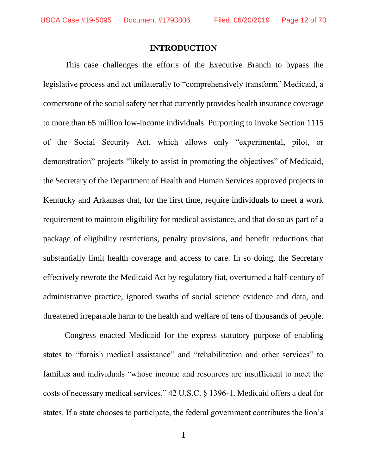#### **INTRODUCTION**

This case challenges the efforts of the Executive Branch to bypass the legislative process and act unilaterally to "comprehensively transform" Medicaid, a cornerstone of the social safety net that currently provides health insurance coverage to more than 65 million low-income individuals. Purporting to invoke Section 1115 of the Social Security Act, which allows only "experimental, pilot, or demonstration" projects "likely to assist in promoting the objectives" of Medicaid, the Secretary of the Department of Health and Human Services approved projects in Kentucky and Arkansas that, for the first time, require individuals to meet a work requirement to maintain eligibility for medical assistance, and that do so as part of a package of eligibility restrictions, penalty provisions, and benefit reductions that substantially limit health coverage and access to care. In so doing, the Secretary effectively rewrote the Medicaid Act by regulatory fiat, overturned a half-century of administrative practice, ignored swaths of social science evidence and data, and threatened irreparable harm to the health and welfare of tens of thousands of people.

Congress enacted Medicaid for the express statutory purpose of enabling states to "furnish medical assistance" and "rehabilitation and other services" to families and individuals "whose income and resources are insufficient to meet the costs of necessary medical services." 42 U.S.C. § 1396-1. Medicaid offers a deal for states. If a state chooses to participate, the federal government contributes the lion's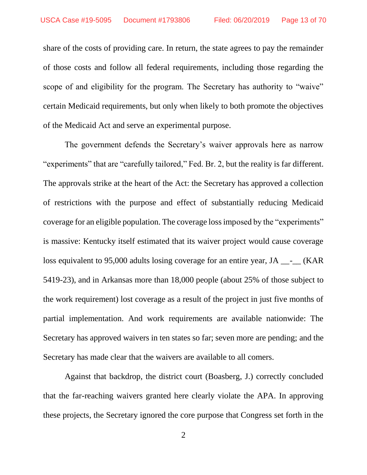share of the costs of providing care. In return, the state agrees to pay the remainder of those costs and follow all federal requirements, including those regarding the scope of and eligibility for the program. The Secretary has authority to "waive" certain Medicaid requirements, but only when likely to both promote the objectives of the Medicaid Act and serve an experimental purpose.

The government defends the Secretary's waiver approvals here as narrow "experiments" that are "carefully tailored," Fed. Br. 2, but the reality is far different. The approvals strike at the heart of the Act: the Secretary has approved a collection of restrictions with the purpose and effect of substantially reducing Medicaid coverage for an eligible population. The coverage loss imposed by the "experiments" is massive: Kentucky itself estimated that its waiver project would cause coverage loss equivalent to 95,000 adults losing coverage for an entire year, JA \_\_\_\_\_ (KAR 5419-23), and in Arkansas more than 18,000 people (about 25% of those subject to the work requirement) lost coverage as a result of the project in just five months of partial implementation. And work requirements are available nationwide: The Secretary has approved waivers in ten states so far; seven more are pending; and the Secretary has made clear that the waivers are available to all comers.

Against that backdrop, the district court (Boasberg, J.) correctly concluded that the far-reaching waivers granted here clearly violate the APA. In approving these projects, the Secretary ignored the core purpose that Congress set forth in the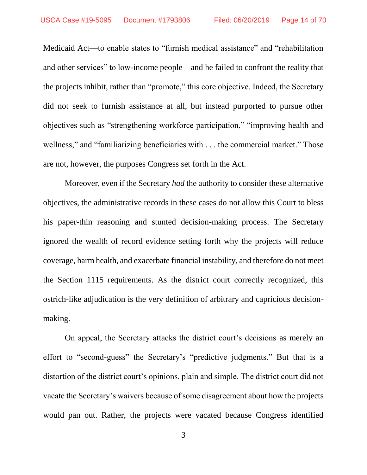Medicaid Act—to enable states to "furnish medical assistance" and "rehabilitation and other services" to low-income people—and he failed to confront the reality that the projects inhibit, rather than "promote," this core objective. Indeed, the Secretary did not seek to furnish assistance at all, but instead purported to pursue other objectives such as "strengthening workforce participation," "improving health and wellness," and "familiarizing beneficiaries with . . . the commercial market." Those are not, however, the purposes Congress set forth in the Act.

Moreover, even if the Secretary *had* the authority to consider these alternative objectives, the administrative records in these cases do not allow this Court to bless his paper-thin reasoning and stunted decision-making process. The Secretary ignored the wealth of record evidence setting forth why the projects will reduce coverage, harm health, and exacerbate financial instability, and therefore do not meet the Section 1115 requirements. As the district court correctly recognized, this ostrich-like adjudication is the very definition of arbitrary and capricious decisionmaking.

On appeal, the Secretary attacks the district court's decisions as merely an effort to "second-guess" the Secretary's "predictive judgments." But that is a distortion of the district court's opinions, plain and simple. The district court did not vacate the Secretary's waivers because of some disagreement about how the projects would pan out. Rather, the projects were vacated because Congress identified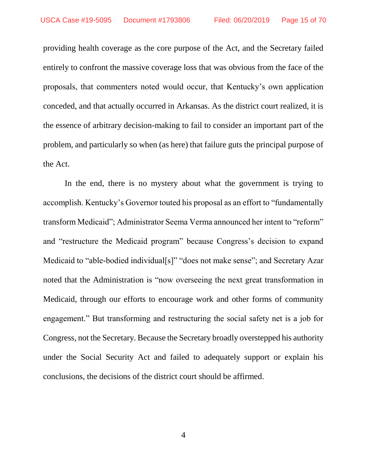providing health coverage as the core purpose of the Act, and the Secretary failed entirely to confront the massive coverage loss that was obvious from the face of the proposals, that commenters noted would occur, that Kentucky's own application conceded, and that actually occurred in Arkansas. As the district court realized, it is the essence of arbitrary decision-making to fail to consider an important part of the problem, and particularly so when (as here) that failure guts the principal purpose of the Act.

In the end, there is no mystery about what the government is trying to accomplish. Kentucky's Governor touted his proposal as an effort to "fundamentally transform Medicaid"; Administrator Seema Verma announced her intent to "reform" and "restructure the Medicaid program" because Congress's decision to expand Medicaid to "able-bodied individual[s]" "does not make sense"; and Secretary Azar noted that the Administration is "now overseeing the next great transformation in Medicaid, through our efforts to encourage work and other forms of community engagement." But transforming and restructuring the social safety net is a job for Congress, not the Secretary. Because the Secretary broadly overstepped his authority under the Social Security Act and failed to adequately support or explain his conclusions, the decisions of the district court should be affirmed.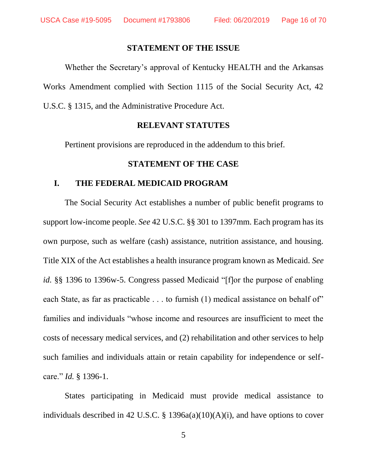#### **STATEMENT OF THE ISSUE**

Whether the Secretary's approval of Kentucky HEALTH and the Arkansas Works Amendment complied with Section 1115 of the Social Security Act, 42 U.S.C. § 1315, and the Administrative Procedure Act.

#### **RELEVANT STATUTES**

Pertinent provisions are reproduced in the addendum to this brief.

### **STATEMENT OF THE CASE**

#### **I. THE FEDERAL MEDICAID PROGRAM**

The Social Security Act establishes a number of public benefit programs to support low-income people. *See* 42 U.S.C. §§ 301 to 1397mm. Each program has its own purpose, such as welfare (cash) assistance, nutrition assistance, and housing. Title XIX of the Act establishes a health insurance program known as Medicaid. *See id.* §§ 1396 to 1396w-5. Congress passed Medicaid "[f]or the purpose of enabling each State, as far as practicable . . . to furnish (1) medical assistance on behalf of" families and individuals "whose income and resources are insufficient to meet the costs of necessary medical services, and (2) rehabilitation and other services to help such families and individuals attain or retain capability for independence or selfcare." *Id.* § 1396-1.

States participating in Medicaid must provide medical assistance to individuals described in 42 U.S.C. § 1396a(a)(10)(A)(i), and have options to cover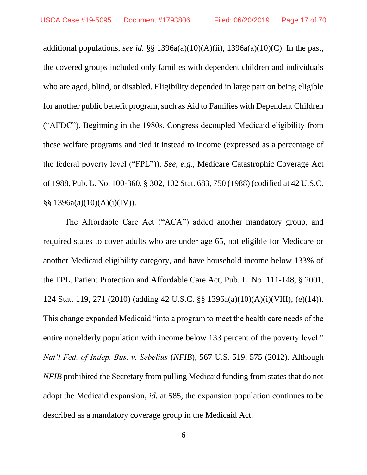additional populations, *see id.* §§ 1396a(a)(10)(A)(ii), 1396a(a)(10)(C). In the past, the covered groups included only families with dependent children and individuals who are aged, blind, or disabled. Eligibility depended in large part on being eligible for another public benefit program, such as Aid to Families with Dependent Children ("AFDC"). Beginning in the 1980s, Congress decoupled Medicaid eligibility from these welfare programs and tied it instead to income (expressed as a percentage of the federal poverty level ("FPL")). *See, e.g.*, Medicare Catastrophic Coverage Act of 1988, Pub. L. No. 100-360, § 302, 102 Stat. 683, 750 (1988) (codified at 42 U.S.C. §§ 1396a(a)(10)(A)(i)(IV)).

The Affordable Care Act ("ACA") added another mandatory group, and required states to cover adults who are under age 65, not eligible for Medicare or another Medicaid eligibility category, and have household income below 133% of the FPL. Patient Protection and Affordable Care Act, Pub. L. No. 111-148, § 2001, 124 Stat. 119, 271 (2010) (adding 42 U.S.C. §§ 1396a(a)(10)(A)(i)(VIII), (e)(14)). This change expanded Medicaid "into a program to meet the health care needs of the entire nonelderly population with income below 133 percent of the poverty level." *Nat'l Fed. of Indep. Bus. v. Sebelius* (*NFIB*), 567 U.S. 519, 575 (2012). Although *NFIB* prohibited the Secretary from pulling Medicaid funding from states that do not adopt the Medicaid expansion, *id.* at 585, the expansion population continues to be described as a mandatory coverage group in the Medicaid Act.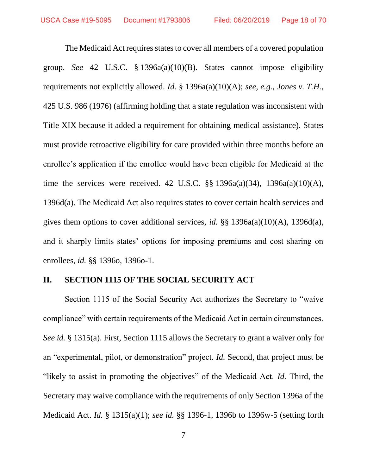The Medicaid Act requires states to cover all members of a covered population group. *See* 42 U.S.C. § 1396a(a)(10)(B). States cannot impose eligibility requirements not explicitly allowed. *Id.* § 1396a(a)(10)(A); *see, e.g.*, *Jones v. T.H.*, 425 U.S. 986 (1976) (affirming holding that a state regulation was inconsistent with Title XIX because it added a requirement for obtaining medical assistance). States must provide retroactive eligibility for care provided within three months before an enrollee's application if the enrollee would have been eligible for Medicaid at the time the services were received. 42 U.S.C. §§ 1396a(a)(34), 1396a(a)(10)(A), 1396d(a). The Medicaid Act also requires states to cover certain health services and gives them options to cover additional services, *id.* §§ 1396a(a)(10)(A), 1396d(a), and it sharply limits states' options for imposing premiums and cost sharing on enrollees, *id.* §§ 1396o, 1396o-1.

### **II. SECTION 1115 OF THE SOCIAL SECURITY ACT**

Section 1115 of the Social Security Act authorizes the Secretary to "waive compliance" with certain requirements of the Medicaid Act in certain circumstances. *See id.* § 1315(a). First, Section 1115 allows the Secretary to grant a waiver only for an "experimental, pilot, or demonstration" project. *Id.* Second, that project must be "likely to assist in promoting the objectives" of the Medicaid Act. *Id.* Third, the Secretary may waive compliance with the requirements of only Section 1396a of the Medicaid Act. *Id.* § 1315(a)(1); *see id.* §§ 1396-1, 1396b to 1396w-5 (setting forth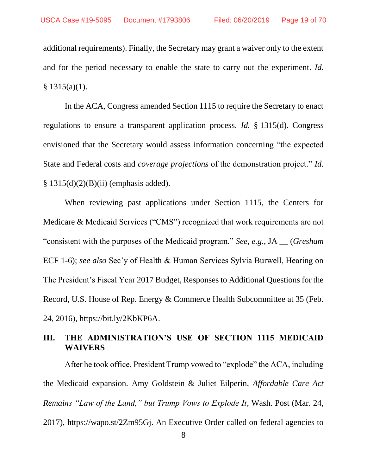additional requirements). Finally, the Secretary may grant a waiver only to the extent and for the period necessary to enable the state to carry out the experiment. *Id.*  $§ 1315(a)(1).$ 

In the ACA, Congress amended Section 1115 to require the Secretary to enact regulations to ensure a transparent application process. *Id.* § 1315(d). Congress envisioned that the Secretary would assess information concerning "the expected State and Federal costs and *coverage projections* of the demonstration project." *Id.*  $§ 1315(d)(2)(B)(ii)$  (emphasis added).

When reviewing past applications under Section 1115, the Centers for Medicare & Medicaid Services ("CMS") recognized that work requirements are not "consistent with the purposes of the Medicaid program." *See, e.g.*, JA \_\_ (*Gresham* ECF 1-6); *see also* Sec'y of Health & Human Services Sylvia Burwell, Hearing on The President's Fiscal Year 2017 Budget, Responses to Additional Questions for the Record, U.S. House of Rep. Energy & Commerce Health Subcommittee at 35 (Feb. 24, 2016), https://bit.ly/2KbKP6A.

# **III. THE ADMINISTRATION'S USE OF SECTION 1115 MEDICAID WAIVERS**

After he took office, President Trump vowed to "explode" the ACA, including the Medicaid expansion. Amy Goldstein & Juliet Eilperin, *Affordable Care Act Remains "Law of the Land," but Trump Vows to Explode It*, Wash. Post (Mar. 24, 2017), https://wapo.st/2Zm95Gj. An Executive Order called on federal agencies to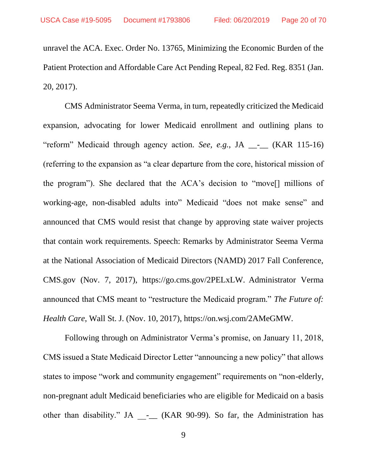unravel the ACA. Exec. Order No. 13765, Minimizing the Economic Burden of the Patient Protection and Affordable Care Act Pending Repeal, 82 Fed. Reg. 8351 (Jan. 20, 2017).

CMS Administrator Seema Verma, in turn, repeatedly criticized the Medicaid expansion, advocating for lower Medicaid enrollment and outlining plans to "reform" Medicaid through agency action. *See, e.g.*, JA \_\_-\_\_ (KAR 115-16) (referring to the expansion as "a clear departure from the core, historical mission of the program"). She declared that the ACA's decision to "move[] millions of working-age, non-disabled adults into" Medicaid "does not make sense" and announced that CMS would resist that change by approving state waiver projects that contain work requirements. Speech: Remarks by Administrator Seema Verma at the National Association of Medicaid Directors (NAMD) 2017 Fall Conference, CMS.gov (Nov. 7, 2017), https://go.cms.gov/2PELxLW. Administrator Verma announced that CMS meant to "restructure the Medicaid program." *The Future of: Health Care*, Wall St. J. (Nov. 10, 2017), https://on.wsj.com/2AMeGMW.

Following through on Administrator Verma's promise, on January 11, 2018, CMS issued a State Medicaid Director Letter "announcing a new policy" that allows states to impose "work and community engagement" requirements on "non-elderly, non-pregnant adult Medicaid beneficiaries who are eligible for Medicaid on a basis other than disability." JA - (KAR 90-99). So far, the Administration has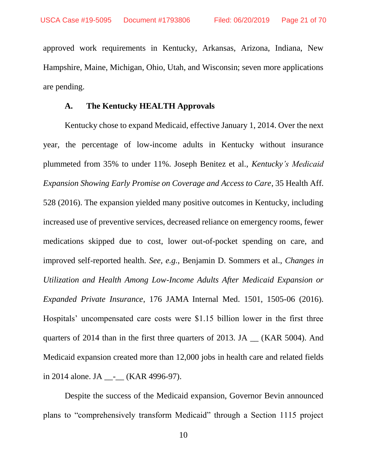approved work requirements in Kentucky, Arkansas, Arizona, Indiana, New Hampshire, Maine, Michigan, Ohio, Utah, and Wisconsin; seven more applications are pending.

### **A. The Kentucky HEALTH Approvals**

Kentucky chose to expand Medicaid, effective January 1, 2014. Over the next year, the percentage of low-income adults in Kentucky without insurance plummeted from 35% to under 11%. Joseph Benitez et al., *Kentucky's Medicaid Expansion Showing Early Promise on Coverage and Access to Care*, 35 Health Aff. 528 (2016). The expansion yielded many positive outcomes in Kentucky, including increased use of preventive services, decreased reliance on emergency rooms, fewer medications skipped due to cost, lower out-of-pocket spending on care, and improved self-reported health. *See, e.g.*, Benjamin D. Sommers et al., *Changes in Utilization and Health Among Low-Income Adults After Medicaid Expansion or Expanded Private Insurance*, 176 JAMA Internal Med. 1501, 1505-06 (2016). Hospitals' uncompensated care costs were \$1.15 billion lower in the first three quarters of 2014 than in the first three quarters of 2013. JA \_\_ (KAR 5004). And Medicaid expansion created more than 12,000 jobs in health care and related fields in 2014 alone. JA \_\_-\_\_ (KAR 4996-97).

Despite the success of the Medicaid expansion, Governor Bevin announced plans to "comprehensively transform Medicaid" through a Section 1115 project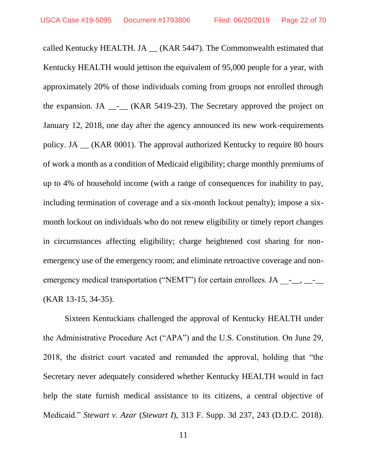called Kentucky HEALTH. JA \_\_ (KAR 5447). The Commonwealth estimated that Kentucky HEALTH would jettison the equivalent of 95,000 people for a year, with approximately 20% of those individuals coming from groups not enrolled through the expansion. JA  $_{\_}$ - $_{\_}$  (KAR 5419-23). The Secretary approved the project on January 12, 2018, one day after the agency announced its new work-requirements policy. JA \_\_ (KAR 0001). The approval authorized Kentucky to require 80 hours of work a month as a condition of Medicaid eligibility; charge monthly premiums of up to 4% of household income (with a range of consequences for inability to pay, including termination of coverage and a six-month lockout penalty); impose a sixmonth lockout on individuals who do not renew eligibility or timely report changes in circumstances affecting eligibility; charge heightened cost sharing for nonemergency use of the emergency room; and eliminate retroactive coverage and nonemergency medical transportation ("NEMT") for certain enrollees. JA  $\qquad$ -(KAR 13-15, 34-35).

Sixteen Kentuckians challenged the approval of Kentucky HEALTH under the Administrative Procedure Act ("APA") and the U.S. Constitution. On June 29, 2018, the district court vacated and remanded the approval, holding that "the Secretary never adequately considered whether Kentucky HEALTH would in fact help the state furnish medical assistance to its citizens, a central objective of Medicaid." *Stewart v. Azar* (*Stewart I*), 313 F. Supp. 3d 237, 243 (D.D.C. 2018).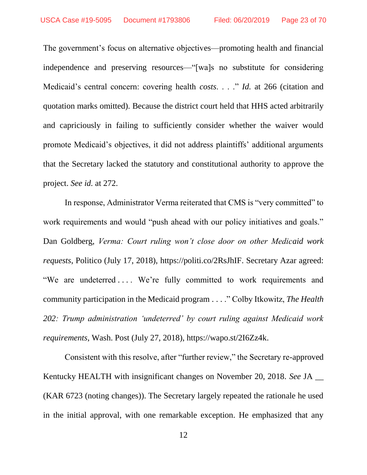The government's focus on alternative objectives—promoting health and financial independence and preserving resources—"[wa]s no substitute for considering Medicaid's central concern: covering health *costs*. . . ." *Id.* at 266 (citation and quotation marks omitted). Because the district court held that HHS acted arbitrarily and capriciously in failing to sufficiently consider whether the waiver would promote Medicaid's objectives, it did not address plaintiffs' additional arguments that the Secretary lacked the statutory and constitutional authority to approve the project. *See id.* at 272.

In response, Administrator Verma reiterated that CMS is "very committed" to work requirements and would "push ahead with our policy initiatives and goals." Dan Goldberg, *Verma: Court ruling won't close door on other Medicaid work requests*, Politico (July 17, 2018), https://politi.co/2RsJhIF. Secretary Azar agreed: "We are undeterred .... We're fully committed to work requirements and community participation in the Medicaid program . . . ." Colby Itkowitz, *The Health 202: Trump administration 'undeterred' by court ruling against Medicaid work requirements*, Wash. Post (July 27, 2018), https://wapo.st/2I6Zz4k.

Consistent with this resolve, after "further review," the Secretary re-approved Kentucky HEALTH with insignificant changes on November 20, 2018. *See* JA \_\_ (KAR 6723 (noting changes)). The Secretary largely repeated the rationale he used in the initial approval, with one remarkable exception. He emphasized that any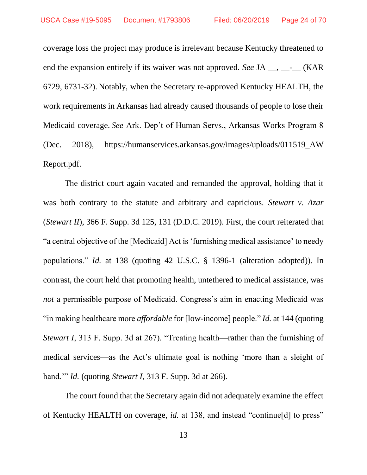coverage loss the project may produce is irrelevant because Kentucky threatened to end the expansion entirely if its waiver was not approved. *See* JA \_\_, \_\_- (KAR 6729, 6731-32). Notably, when the Secretary re-approved Kentucky HEALTH, the work requirements in Arkansas had already caused thousands of people to lose their Medicaid coverage. *See* Ark. Dep't of Human Servs., Arkansas Works Program 8 (Dec. 2018), https://humanservices.arkansas.gov/images/uploads/011519\_AW Report.pdf.

The district court again vacated and remanded the approval, holding that it was both contrary to the statute and arbitrary and capricious. *Stewart v. Azar* (*Stewart II*), 366 F. Supp. 3d 125, 131 (D.D.C. 2019). First, the court reiterated that "a central objective of the [Medicaid] Act is 'furnishing medical assistance' to needy populations." *Id.* at 138 (quoting 42 U.S.C. § 1396-1 (alteration adopted)). In contrast, the court held that promoting health, untethered to medical assistance, was *not* a permissible purpose of Medicaid. Congress's aim in enacting Medicaid was "in making healthcare more *affordable* for [low-income] people." *Id.* at 144 (quoting *Stewart I*, 313 F. Supp. 3d at 267). "Treating health—rather than the furnishing of medical services—as the Act's ultimate goal is nothing 'more than a sleight of hand.'" *Id.* (quoting *Stewart I*, 313 F. Supp. 3d at 266).

The court found that the Secretary again did not adequately examine the effect of Kentucky HEALTH on coverage, *id.* at 138, and instead "continue[d] to press"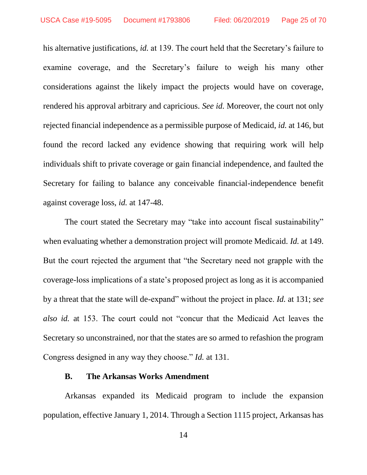his alternative justifications, *id.* at 139. The court held that the Secretary's failure to examine coverage, and the Secretary's failure to weigh his many other considerations against the likely impact the projects would have on coverage, rendered his approval arbitrary and capricious. *See id.* Moreover, the court not only rejected financial independence as a permissible purpose of Medicaid, *id.* at 146, but found the record lacked any evidence showing that requiring work will help individuals shift to private coverage or gain financial independence, and faulted the Secretary for failing to balance any conceivable financial-independence benefit against coverage loss, *id.* at 147-48.

The court stated the Secretary may "take into account fiscal sustainability" when evaluating whether a demonstration project will promote Medicaid. *Id.* at 149. But the court rejected the argument that "the Secretary need not grapple with the coverage-loss implications of a state's proposed project as long as it is accompanied by a threat that the state will de-expand" without the project in place. *Id.* at 131; *see also id.* at 153. The court could not "concur that the Medicaid Act leaves the Secretary so unconstrained, nor that the states are so armed to refashion the program Congress designed in any way they choose." *Id.* at 131.

#### **B. The Arkansas Works Amendment**

Arkansas expanded its Medicaid program to include the expansion population, effective January 1, 2014. Through a Section 1115 project, Arkansas has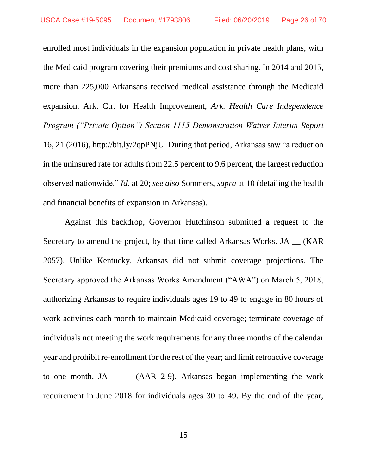enrolled most individuals in the expansion population in private health plans, with the Medicaid program covering their premiums and cost sharing. In 2014 and 2015, more than 225,000 Arkansans received medical assistance through the Medicaid expansion. Ark. Ctr. for Health Improvement, *Ark. Health Care Independence Program ("Private Option") Section 1115 Demonstration Waiver Interim Report*  16, 21 (2016), http://bit.ly/2qpPNjU. During that period, Arkansas saw "a reduction in the uninsured rate for adults from 22.5 percent to 9.6 percent, the largest reduction observed nationwide." *Id.* at 20; *see also* Sommers, *supra* at 10 (detailing the health and financial benefits of expansion in Arkansas).

Against this backdrop, Governor Hutchinson submitted a request to the Secretary to amend the project, by that time called Arkansas Works. JA (KAR) 2057). Unlike Kentucky, Arkansas did not submit coverage projections. The Secretary approved the Arkansas Works Amendment ("AWA") on March 5, 2018, authorizing Arkansas to require individuals ages 19 to 49 to engage in 80 hours of work activities each month to maintain Medicaid coverage; terminate coverage of individuals not meeting the work requirements for any three months of the calendar year and prohibit re-enrollment for the rest of the year; and limit retroactive coverage to one month. JA  $_{--}$  (AAR 2-9). Arkansas began implementing the work requirement in June 2018 for individuals ages 30 to 49. By the end of the year,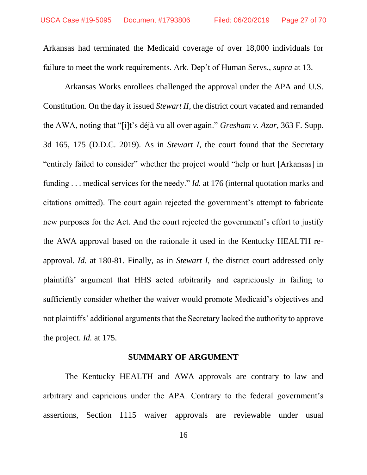Arkansas had terminated the Medicaid coverage of over 18,000 individuals for failure to meet the work requirements. Ark. Dep't of Human Servs., *supra* at 13.

Arkansas Works enrollees challenged the approval under the APA and U.S. Constitution. On the day it issued *Stewart II*, the district court vacated and remanded the AWA, noting that "[i]t's déjà vu all over again." *Gresham v. Azar*, 363 F. Supp. 3d 165, 175 (D.D.C. 2019). As in *Stewart I*, the court found that the Secretary "entirely failed to consider" whether the project would "help or hurt [Arkansas] in funding . . . medical services for the needy." *Id.* at 176 (internal quotation marks and citations omitted). The court again rejected the government's attempt to fabricate new purposes for the Act. And the court rejected the government's effort to justify the AWA approval based on the rationale it used in the Kentucky HEALTH reapproval. *Id.* at 180-81. Finally, as in *Stewart I*, the district court addressed only plaintiffs' argument that HHS acted arbitrarily and capriciously in failing to sufficiently consider whether the waiver would promote Medicaid's objectives and not plaintiffs' additional arguments that the Secretary lacked the authority to approve the project. *Id.* at 175.

#### **SUMMARY OF ARGUMENT**

The Kentucky HEALTH and AWA approvals are contrary to law and arbitrary and capricious under the APA. Contrary to the federal government's assertions, Section 1115 waiver approvals are reviewable under usual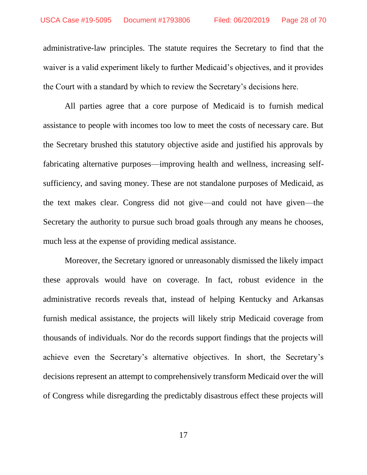administrative-law principles. The statute requires the Secretary to find that the waiver is a valid experiment likely to further Medicaid's objectives, and it provides the Court with a standard by which to review the Secretary's decisions here.

All parties agree that a core purpose of Medicaid is to furnish medical assistance to people with incomes too low to meet the costs of necessary care. But the Secretary brushed this statutory objective aside and justified his approvals by fabricating alternative purposes—improving health and wellness, increasing selfsufficiency, and saving money. These are not standalone purposes of Medicaid, as the text makes clear. Congress did not give—and could not have given—the Secretary the authority to pursue such broad goals through any means he chooses, much less at the expense of providing medical assistance.

Moreover, the Secretary ignored or unreasonably dismissed the likely impact these approvals would have on coverage. In fact, robust evidence in the administrative records reveals that, instead of helping Kentucky and Arkansas furnish medical assistance, the projects will likely strip Medicaid coverage from thousands of individuals. Nor do the records support findings that the projects will achieve even the Secretary's alternative objectives. In short, the Secretary's decisions represent an attempt to comprehensively transform Medicaid over the will of Congress while disregarding the predictably disastrous effect these projects will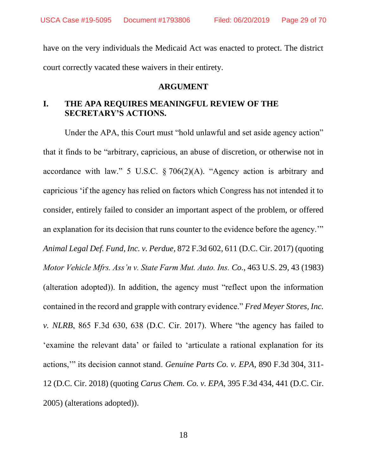USCA Case #19-5095 Document #1793806 Filed: 06/20/2019 Page 29 of 70

have on the very individuals the Medicaid Act was enacted to protect. The district court correctly vacated these waivers in their entirety.

#### **ARGUMENT**

# **I. THE APA REQUIRES MEANINGFUL REVIEW OF THE SECRETARY'S ACTIONS.**

Under the APA, this Court must "hold unlawful and set aside agency action" that it finds to be "arbitrary, capricious, an abuse of discretion, or otherwise not in accordance with law." 5 U.S.C.  $\S 706(2)(A)$ . "Agency action is arbitrary and capricious 'if the agency has relied on factors which Congress has not intended it to consider, entirely failed to consider an important aspect of the problem, or offered an explanation for its decision that runs counter to the evidence before the agency.'" *Animal Legal Def. Fund, Inc. v. Perdue*, 872 F.3d 602, 611 (D.C. Cir. 2017) (quoting *Motor Vehicle Mfrs. Ass'n v. State Farm Mut. Auto. Ins. Co.*, 463 U.S. 29, 43 (1983) (alteration adopted)). In addition, the agency must "reflect upon the information contained in the record and grapple with contrary evidence." *Fred Meyer Stores, Inc. v. NLRB*, 865 F.3d 630, 638 (D.C. Cir. 2017). Where "the agency has failed to 'examine the relevant data' or failed to 'articulate a rational explanation for its actions,'" its decision cannot stand. *Genuine Parts Co. v. EPA*, 890 F.3d 304, 311- 12 (D.C. Cir. 2018) (quoting *Carus Chem. Co. v. EPA*, 395 F.3d 434, 441 (D.C. Cir. 2005) (alterations adopted)).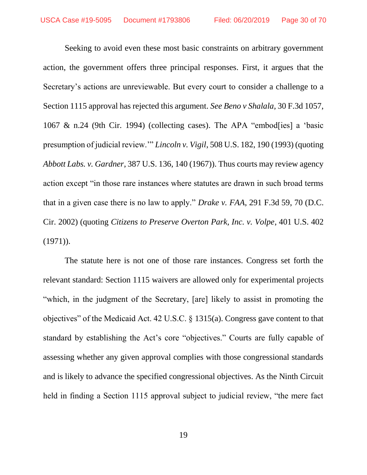Seeking to avoid even these most basic constraints on arbitrary government action, the government offers three principal responses. First, it argues that the Secretary's actions are unreviewable. But every court to consider a challenge to a Section 1115 approval has rejected this argument. *See Beno v Shalala*, 30 F.3d 1057, 1067 & n.24 (9th Cir. 1994) (collecting cases). The APA "embod[ies] a 'basic presumption of judicial review.'" *Lincoln v. Vigil*, 508 U.S. 182, 190 (1993) (quoting *Abbott Labs. v. Gardner*, 387 U.S. 136, 140 (1967)). Thus courts may review agency action except "in those rare instances where statutes are drawn in such broad terms that in a given case there is no law to apply." *Drake v. FAA*, 291 F.3d 59, 70 (D.C. Cir. 2002) (quoting *Citizens to Preserve Overton Park, Inc. v. Volpe*, 401 U.S. 402  $(1971)$ ).

The statute here is not one of those rare instances. Congress set forth the relevant standard: Section 1115 waivers are allowed only for experimental projects "which, in the judgment of the Secretary, [are] likely to assist in promoting the objectives" of the Medicaid Act. 42 U.S.C. § 1315(a). Congress gave content to that standard by establishing the Act's core "objectives." Courts are fully capable of assessing whether any given approval complies with those congressional standards and is likely to advance the specified congressional objectives. As the Ninth Circuit held in finding a Section 1115 approval subject to judicial review, "the mere fact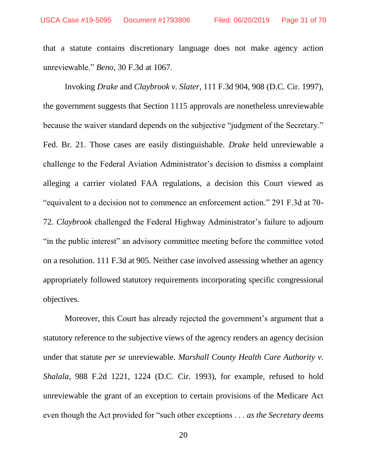that a statute contains discretionary language does not make agency action unreviewable." *Beno*, 30 F.3d at 1067.

Invoking *Drake* and *Claybrook v. Slater*, 111 F.3d 904, 908 (D.C. Cir. 1997), the government suggests that Section 1115 approvals are nonetheless unreviewable because the waiver standard depends on the subjective "judgment of the Secretary." Fed. Br. 21. Those cases are easily distinguishable. *Drake* held unreviewable a challenge to the Federal Aviation Administrator's decision to dismiss a complaint alleging a carrier violated FAA regulations, a decision this Court viewed as "equivalent to a decision not to commence an enforcement action." 291 F.3d at 70- 72. *Claybrook* challenged the Federal Highway Administrator's failure to adjourn "in the public interest" an advisory committee meeting before the committee voted on a resolution. 111 F.3d at 905. Neither case involved assessing whether an agency appropriately followed statutory requirements incorporating specific congressional objectives.

Moreover, this Court has already rejected the government's argument that a statutory reference to the subjective views of the agency renders an agency decision under that statute *per se* unreviewable. *Marshall County Health Care Authority v. Shalala*, 988 F.2d 1221, 1224 (D.C. Cir. 1993), for example, refused to hold unreviewable the grant of an exception to certain provisions of the Medicare Act even though the Act provided for "such other exceptions . . . *as the Secretary deems*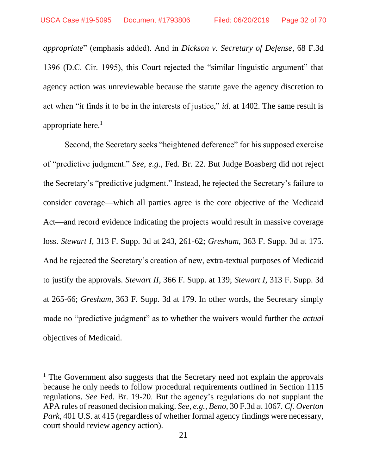$\overline{\phantom{a}}$ 

*appropriate*" (emphasis added). And in *Dickson v. Secretary of Defense*, 68 F.3d 1396 (D.C. Cir. 1995), this Court rejected the "similar linguistic argument" that agency action was unreviewable because the statute gave the agency discretion to act when "*it* finds it to be in the interests of justice," *id.* at 1402. The same result is appropriate here. $<sup>1</sup>$ </sup>

Second, the Secretary seeks "heightened deference" for his supposed exercise of "predictive judgment." *See, e.g.*, Fed. Br. 22. But Judge Boasberg did not reject the Secretary's "predictive judgment." Instead, he rejected the Secretary's failure to consider coverage—which all parties agree is the core objective of the Medicaid Act—and record evidence indicating the projects would result in massive coverage loss. *Stewart I*, 313 F. Supp. 3d at 243, 261-62; *Gresham*, 363 F. Supp. 3d at 175. And he rejected the Secretary's creation of new, extra-textual purposes of Medicaid to justify the approvals. *Stewart II*, 366 F. Supp. at 139; *Stewart I*, 313 F. Supp. 3d at 265-66; *Gresham*, 363 F. Supp. 3d at 179. In other words, the Secretary simply made no "predictive judgment" as to whether the waivers would further the *actual*  objectives of Medicaid.

<sup>&</sup>lt;sup>1</sup> The Government also suggests that the Secretary need not explain the approvals because he only needs to follow procedural requirements outlined in Section 1115 regulations. *See* Fed. Br. 19-20. But the agency's regulations do not supplant the APA rules of reasoned decision making. *See, e.g.*, *Beno*, 30 F.3d at 1067. *Cf. Overton Park*, 401 U.S. at 415 (regardless of whether formal agency findings were necessary, court should review agency action).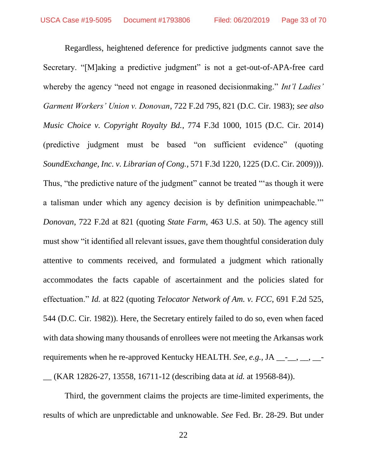Regardless, heightened deference for predictive judgments cannot save the Secretary. "[M]aking a predictive judgment" is not a get-out-of-APA-free card whereby the agency "need not engage in reasoned decisionmaking." *Int'l Ladies' Garment Workers' Union v. Donovan*, 722 F.2d 795, 821 (D.C. Cir. 1983); *see also Music Choice v. Copyright Royalty Bd.*, 774 F.3d 1000, 1015 (D.C. Cir. 2014) (predictive judgment must be based "on sufficient evidence" (quoting *SoundExchange, Inc. v. Librarian of Cong.*, 571 F.3d 1220, 1225 (D.C. Cir. 2009))). Thus, "the predictive nature of the judgment" cannot be treated "'as though it were a talisman under which any agency decision is by definition unimpeachable.'" *Donovan*, 722 F.2d at 821 (quoting *State Farm*, 463 U.S. at 50). The agency still must show "it identified all relevant issues, gave them thoughtful consideration duly attentive to comments received, and formulated a judgment which rationally accommodates the facts capable of ascertainment and the policies slated for effectuation." *Id.* at 822 (quoting *Telocator Network of Am. v. FCC*, 691 F.2d 525, 544 (D.C. Cir. 1982)). Here, the Secretary entirely failed to do so, even when faced with data showing many thousands of enrollees were not meeting the Arkansas work requirements when he re-approved Kentucky HEALTH. *See, e.g.*, JA \_\_-<sub>\_\_</sub>, \_\_, \_\_-

\_\_ (KAR 12826-27, 13558, 16711-12 (describing data at *id.* at 19568-84)).

Third, the government claims the projects are time-limited experiments, the results of which are unpredictable and unknowable. *See* Fed. Br. 28-29. But under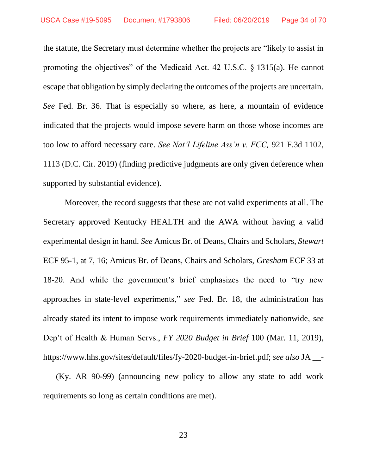the statute, the Secretary must determine whether the projects are "likely to assist in promoting the objectives" of the Medicaid Act. 42 U.S.C. § 1315(a). He cannot escape that obligation by simply declaring the outcomes of the projects are uncertain. *See* Fed. Br. 36. That is especially so where, as here, a mountain of evidence indicated that the projects would impose severe harm on those whose incomes are too low to afford necessary care. *See Nat'l Lifeline Ass'n v. FCC,* 921 F.3d 1102, 1113 (D.C. Cir. 2019) (finding predictive judgments are only given deference when supported by substantial evidence).

Moreover, the record suggests that these are not valid experiments at all. The Secretary approved Kentucky HEALTH and the AWA without having a valid experimental design in hand. *See* Amicus Br. of Deans, Chairs and Scholars, *Stewart* ECF 95-1, at 7, 16; Amicus Br. of Deans, Chairs and Scholars, *Gresham* ECF 33 at 18-20. And while the government's brief emphasizes the need to "try new approaches in state-level experiments," *see* Fed. Br. 18, the administration has already stated its intent to impose work requirements immediately nationwide, *see*  Dep't of Health & Human Servs., *FY 2020 Budget in Brief* 100 (Mar. 11, 2019), https://www.hhs.gov/sites/default/files/fy-2020-budget-in-brief.pdf; *see also* JA \_\_- \_\_ (Ky. AR 90-99) (announcing new policy to allow any state to add work requirements so long as certain conditions are met).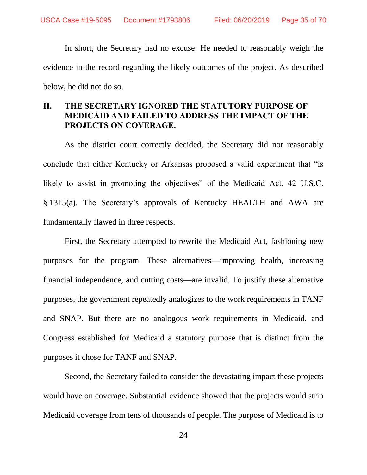In short, the Secretary had no excuse: He needed to reasonably weigh the evidence in the record regarding the likely outcomes of the project. As described below, he did not do so.

# **II. THE SECRETARY IGNORED THE STATUTORY PURPOSE OF MEDICAID AND FAILED TO ADDRESS THE IMPACT OF THE PROJECTS ON COVERAGE.**

As the district court correctly decided, the Secretary did not reasonably conclude that either Kentucky or Arkansas proposed a valid experiment that "is likely to assist in promoting the objectives" of the Medicaid Act. 42 U.S.C. § 1315(a). The Secretary's approvals of Kentucky HEALTH and AWA are fundamentally flawed in three respects.

First, the Secretary attempted to rewrite the Medicaid Act, fashioning new purposes for the program. These alternatives—improving health, increasing financial independence, and cutting costs—are invalid. To justify these alternative purposes, the government repeatedly analogizes to the work requirements in TANF and SNAP. But there are no analogous work requirements in Medicaid, and Congress established for Medicaid a statutory purpose that is distinct from the purposes it chose for TANF and SNAP.

Second, the Secretary failed to consider the devastating impact these projects would have on coverage. Substantial evidence showed that the projects would strip Medicaid coverage from tens of thousands of people. The purpose of Medicaid is to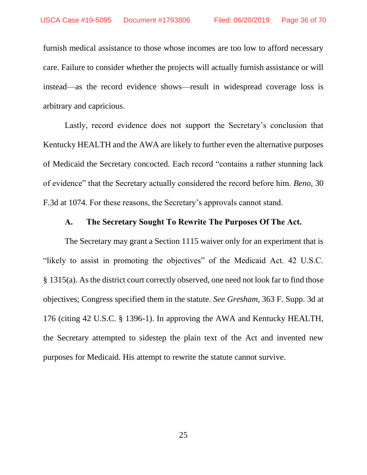furnish medical assistance to those whose incomes are too low to afford necessary care. Failure to consider whether the projects will actually furnish assistance or will instead—as the record evidence shows—result in widespread coverage loss is arbitrary and capricious.

Lastly, record evidence does not support the Secretary's conclusion that Kentucky HEALTH and the AWA are likely to further even the alternative purposes of Medicaid the Secretary concocted. Each record "contains a rather stunning lack of evidence" that the Secretary actually considered the record before him. *Beno*, 30 F.3d at 1074. For these reasons, the Secretary's approvals cannot stand.

#### **A. The Secretary Sought To Rewrite The Purposes Of The Act.**

The Secretary may grant a Section 1115 waiver only for an experiment that is "likely to assist in promoting the objectives" of the Medicaid Act. 42 U.S.C. § 1315(a). As the district court correctly observed, one need not look far to find those objectives; Congress specified them in the statute. *See Gresham*, 363 F. Supp. 3d at 176 (citing 42 U.S.C. § 1396-1). In approving the AWA and Kentucky HEALTH, the Secretary attempted to sidestep the plain text of the Act and invented new purposes for Medicaid. His attempt to rewrite the statute cannot survive.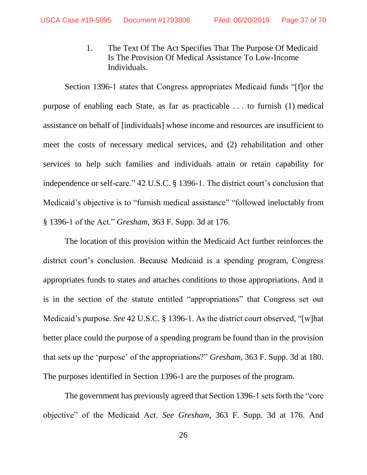1. The Text Of The Act Specifies That The Purpose Of Medicaid Is The Provision Of Medical Assistance To Low-Income Individuals.

Section 1396-1 states that Congress appropriates Medicaid funds "[f]or the purpose of enabling each State, as far as practicable . . . to furnish (1) medical assistance on behalf of [individuals] whose income and resources are insufficient to meet the costs of necessary medical services, and (2) rehabilitation and other services to help such families and individuals attain or retain capability for independence or self-care." 42 U.S.C. § 1396-1. The district court's conclusion that Medicaid's objective is to "furnish medical assistance" "followed ineluctably from § 1396-1 of the Act." *Gresham*, 363 F. Supp. 3d at 176.

The location of this provision within the Medicaid Act further reinforces the district court's conclusion. Because Medicaid is a spending program, Congress appropriates funds to states and attaches conditions to those appropriations. And it is in the section of the statute entitled "appropriations" that Congress set out Medicaid's purpose. *See* 42 U.S.C. § 1396-1. As the district court observed, "[w]hat better place could the purpose of a spending program be found than in the provision that sets up the 'purpose' of the appropriations?" *Gresham*, 363 F. Supp. 3d at 180. The purposes identified in Section 1396-1 are the purposes of the program.

The government has previously agreed that Section 1396-1 sets forth the "core objective" of the Medicaid Act. *See Gresham*, 363 F. Supp. 3d at 176. And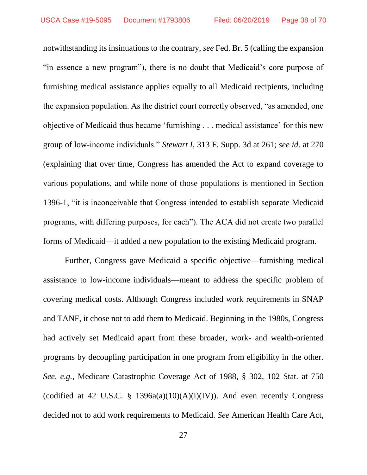notwithstanding its insinuations to the contrary, *see* Fed. Br. 5 (calling the expansion "in essence a new program"), there is no doubt that Medicaid's core purpose of furnishing medical assistance applies equally to all Medicaid recipients, including the expansion population. As the district court correctly observed, "as amended, one objective of Medicaid thus became 'furnishing . . . medical assistance' for this new group of low-income individuals." *Stewart I*, 313 F. Supp. 3d at 261; *see id.* at 270 (explaining that over time, Congress has amended the Act to expand coverage to various populations, and while none of those populations is mentioned in Section 1396-1, "it is inconceivable that Congress intended to establish separate Medicaid programs, with differing purposes, for each"). The ACA did not create two parallel forms of Medicaid—it added a new population to the existing Medicaid program.

Further, Congress gave Medicaid a specific objective—furnishing medical assistance to low-income individuals—meant to address the specific problem of covering medical costs. Although Congress included work requirements in SNAP and TANF, it chose not to add them to Medicaid. Beginning in the 1980s, Congress had actively set Medicaid apart from these broader, work- and wealth-oriented programs by decoupling participation in one program from eligibility in the other. *See, e.g.*, Medicare Catastrophic Coverage Act of 1988, § 302, 102 Stat. at 750 (codified at 42 U.S.C. § 1396a(a)(10)(A)(i)(IV)). And even recently Congress decided not to add work requirements to Medicaid. *See* American Health Care Act,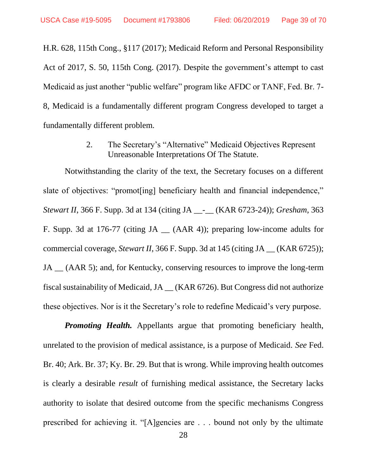H.R. 628, 115th Cong., §117 (2017); Medicaid Reform and Personal Responsibility Act of 2017, S. 50, 115th Cong. (2017). Despite the government's attempt to cast Medicaid as just another "public welfare" program like AFDC or TANF, Fed. Br. 7- 8, Medicaid is a fundamentally different program Congress developed to target a fundamentally different problem.

> 2. The Secretary's "Alternative" Medicaid Objectives Represent Unreasonable Interpretations Of The Statute.

Notwithstanding the clarity of the text, the Secretary focuses on a different slate of objectives: "promot[ing] beneficiary health and financial independence," *Stewart II*, 366 F. Supp. 3d at 134 (citing JA \_\_-\_\_ (KAR 6723-24)); *Gresham*, 363 F. Supp. 3d at 176-77 (citing JA \_\_ (AAR 4)); preparing low-income adults for commercial coverage, *Stewart II*, 366 F. Supp. 3d at 145 (citing JA \_\_ (KAR 6725)); JA (AAR 5); and, for Kentucky, conserving resources to improve the long-term fiscal sustainability of Medicaid, JA \_\_ (KAR 6726). But Congress did not authorize these objectives. Nor is it the Secretary's role to redefine Medicaid's very purpose.

*Promoting Health.* Appellants argue that promoting beneficiary health, unrelated to the provision of medical assistance, is a purpose of Medicaid. *See* Fed. Br. 40; Ark. Br. 37; Ky. Br. 29. But that is wrong. While improving health outcomes is clearly a desirable *result* of furnishing medical assistance, the Secretary lacks authority to isolate that desired outcome from the specific mechanisms Congress prescribed for achieving it. "[A]gencies are . . . bound not only by the ultimate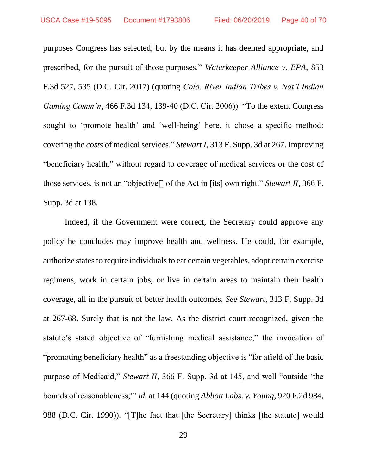purposes Congress has selected, but by the means it has deemed appropriate, and prescribed, for the pursuit of those purposes." *Waterkeeper Alliance v. EPA*, 853 F.3d 527, 535 (D.C. Cir. 2017) (quoting *Colo. River Indian Tribes v. Nat'l Indian Gaming Comm'n*, 466 F.3d 134, 139-40 (D.C. Cir. 2006)). "To the extent Congress sought to 'promote health' and 'well-being' here, it chose a specific method: covering the *costs* of medical services." *Stewart I*, 313 F. Supp. 3d at 267. Improving "beneficiary health," without regard to coverage of medical services or the cost of those services, is not an "objective[] of the Act in [its] own right." *Stewart II*, 366 F. Supp. 3d at 138.

Indeed, if the Government were correct, the Secretary could approve any policy he concludes may improve health and wellness. He could, for example, authorize states to require individuals to eat certain vegetables, adopt certain exercise regimens, work in certain jobs, or live in certain areas to maintain their health coverage, all in the pursuit of better health outcomes. *See Stewart*, 313 F. Supp. 3d at 267-68. Surely that is not the law. As the district court recognized, given the statute's stated objective of "furnishing medical assistance," the invocation of "promoting beneficiary health" as a freestanding objective is "far afield of the basic purpose of Medicaid," *Stewart II*, 366 F. Supp. 3d at 145, and well "outside 'the bounds of reasonableness,'" *id.* at 144 (quoting *Abbott Labs. v. Young*, 920 F.2d 984, 988 (D.C. Cir. 1990)). "[T]he fact that [the Secretary] thinks [the statute] would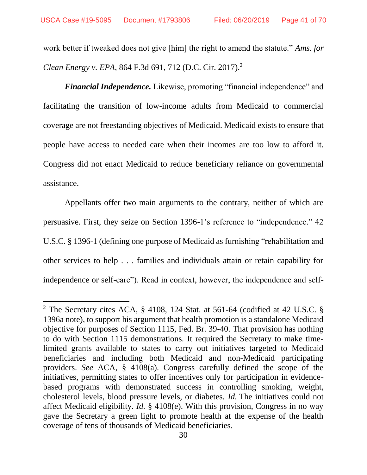work better if tweaked does not give [him] the right to amend the statute." *Ams. for Clean Energy v. EPA*, 864 F.3d 691, 712 (D.C. Cir. 2017).<sup>2</sup>

*Financial Independence.* Likewise, promoting "financial independence" and facilitating the transition of low-income adults from Medicaid to commercial coverage are not freestanding objectives of Medicaid. Medicaid exists to ensure that people have access to needed care when their incomes are too low to afford it. Congress did not enact Medicaid to reduce beneficiary reliance on governmental assistance.

Appellants offer two main arguments to the contrary, neither of which are persuasive. First, they seize on Section 1396-1's reference to "independence." 42 U.S.C. § 1396-1 (defining one purpose of Medicaid as furnishing "rehabilitation and other services to help . . . families and individuals attain or retain capability for independence or self-care"). Read in context, however, the independence and self-

l

<sup>2</sup> The Secretary cites ACA, § 4108, 124 Stat. at 561-64 (codified at 42 U.S.C. § 1396a note), to support his argument that health promotion is a standalone Medicaid objective for purposes of Section 1115, Fed. Br. 39-40. That provision has nothing to do with Section 1115 demonstrations. It required the Secretary to make timelimited grants available to states to carry out initiatives targeted to Medicaid beneficiaries and including both Medicaid and non-Medicaid participating providers. *See* ACA, § 4108(a). Congress carefully defined the scope of the initiatives, permitting states to offer incentives only for participation in evidencebased programs with demonstrated success in controlling smoking, weight, cholesterol levels, blood pressure levels, or diabetes. *Id.* The initiatives could not affect Medicaid eligibility. *Id.* § 4108(e). With this provision, Congress in no way gave the Secretary a green light to promote health at the expense of the health coverage of tens of thousands of Medicaid beneficiaries.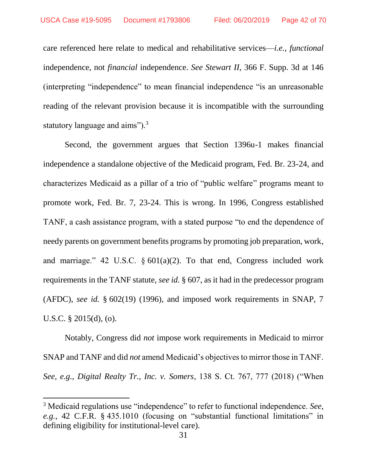care referenced here relate to medical and rehabilitative services—*i.e.*, *functional* independence, not *financial* independence. *See Stewart II*, 366 F. Supp. 3d at 146 (interpreting "independence" to mean financial independence "is an unreasonable reading of the relevant provision because it is incompatible with the surrounding statutory language and aims").<sup>3</sup>

Second, the government argues that Section 1396u-1 makes financial independence a standalone objective of the Medicaid program, Fed. Br. 23-24, and characterizes Medicaid as a pillar of a trio of "public welfare" programs meant to promote work, Fed. Br. 7, 23-24. This is wrong. In 1996, Congress established TANF, a cash assistance program, with a stated purpose "to end the dependence of needy parents on government benefits programs by promoting job preparation, work, and marriage." 42 U.S.C.  $\delta$  601(a)(2). To that end, Congress included work requirements in the TANF statute, *see id.* § 607, as it had in the predecessor program (AFDC), *see id.* § 602(19) (1996), and imposed work requirements in SNAP, 7 U.S.C. § 2015(d), (o).

Notably, Congress did *not* impose work requirements in Medicaid to mirror SNAP and TANF and did *not* amend Medicaid's objectives to mirror those in TANF. *See, e.g.*, *Digital Realty Tr., Inc. v. Somers*, 138 S. Ct. 767, 777 (2018) ("When

 $\overline{\phantom{a}}$ 

<sup>3</sup> Medicaid regulations use "independence" to refer to functional independence. *See, e.g.*, 42 C.F.R. § 435.1010 (focusing on "substantial functional limitations" in defining eligibility for institutional-level care).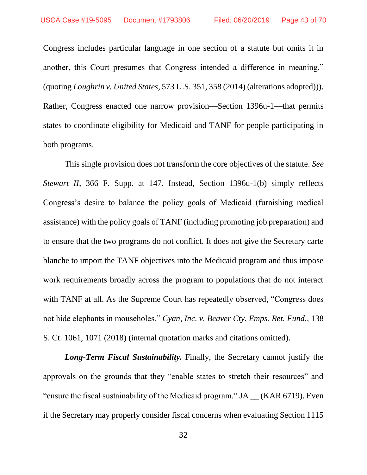Congress includes particular language in one section of a statute but omits it in another, this Court presumes that Congress intended a difference in meaning." (quoting *Loughrin v. United States*, 573 U.S. 351, 358 (2014) (alterations adopted))). Rather, Congress enacted one narrow provision—Section 1396u-1—that permits states to coordinate eligibility for Medicaid and TANF for people participating in both programs.

This single provision does not transform the core objectives of the statute. *See Stewart II*, 366 F. Supp. at 147. Instead, Section 1396u-1(b) simply reflects Congress's desire to balance the policy goals of Medicaid (furnishing medical assistance) with the policy goals of TANF (including promoting job preparation) and to ensure that the two programs do not conflict. It does not give the Secretary carte blanche to import the TANF objectives into the Medicaid program and thus impose work requirements broadly across the program to populations that do not interact with TANF at all. As the Supreme Court has repeatedly observed, "Congress does not hide elephants in mouseholes." *Cyan, Inc. v. Beaver Cty. Emps. Ret. Fund.*, 138 S. Ct. 1061, 1071 (2018) (internal quotation marks and citations omitted).

*Long-Term Fiscal Sustainability.* Finally, the Secretary cannot justify the approvals on the grounds that they "enable states to stretch their resources" and "ensure the fiscal sustainability of the Medicaid program." JA \_\_ (KAR 6719). Even if the Secretary may properly consider fiscal concerns when evaluating Section 1115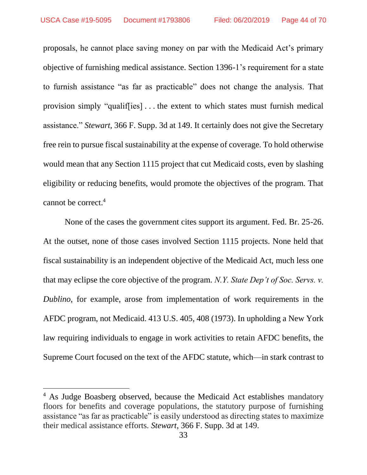proposals, he cannot place saving money on par with the Medicaid Act's primary objective of furnishing medical assistance. Section 1396-1's requirement for a state to furnish assistance "as far as practicable" does not change the analysis. That provision simply "qualif[ies] . . . the extent to which states must furnish medical assistance." *Stewart*, 366 F. Supp. 3d at 149. It certainly does not give the Secretary free rein to pursue fiscal sustainability at the expense of coverage. To hold otherwise would mean that any Section 1115 project that cut Medicaid costs, even by slashing eligibility or reducing benefits, would promote the objectives of the program. That cannot be correct.<sup>4</sup>

None of the cases the government cites support its argument. Fed. Br. 25-26. At the outset, none of those cases involved Section 1115 projects. None held that fiscal sustainability is an independent objective of the Medicaid Act, much less one that may eclipse the core objective of the program. *N.Y. State Dep't of Soc. Servs. v. Dublino*, for example, arose from implementation of work requirements in the AFDC program, not Medicaid. 413 U.S. 405, 408 (1973). In upholding a New York law requiring individuals to engage in work activities to retain AFDC benefits, the Supreme Court focused on the text of the AFDC statute, which—in stark contrast to

 $\overline{\phantom{a}}$ 

<sup>&</sup>lt;sup>4</sup> As Judge Boasberg observed, because the Medicaid Act establishes mandatory floors for benefits and coverage populations, the statutory purpose of furnishing assistance "as far as practicable" is easily understood as directing states to maximize their medical assistance efforts. *Stewart*, 366 F. Supp. 3d at 149.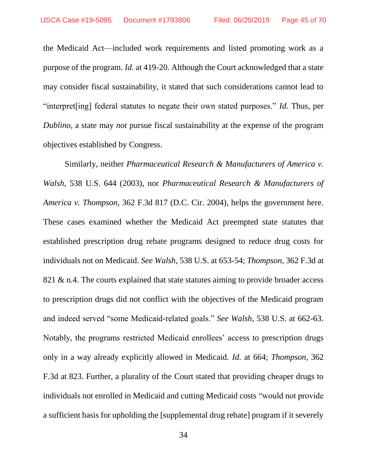the Medicaid Act—included work requirements and listed promoting work as a purpose of the program. *Id.* at 419-20. Although the Court acknowledged that a state may consider fiscal sustainability, it stated that such considerations cannot lead to "interpret[ing] federal statutes to negate their own stated purposes." *Id.* Thus, per *Dublino*, a state may *not* pursue fiscal sustainability at the expense of the program objectives established by Congress.

Similarly, neither *Pharmaceutical Research & Manufacturers of America v. Walsh*, 538 U.S. 644 (2003), nor *Pharmaceutical Research & Manufacturers of America v. Thompson*, 362 F.3d 817 (D.C. Cir. 2004), helps the government here. These cases examined whether the Medicaid Act preempted state statutes that established prescription drug rebate programs designed to reduce drug costs for individuals not on Medicaid. *See Walsh*, 538 U.S. at 653-54; *Thompson*, 362 F.3d at 821 & n.4. The courts explained that state statutes aiming to provide broader access to prescription drugs did not conflict with the objectives of the Medicaid program and indeed served "some Medicaid-related goals." *See Walsh*, 538 U.S. at 662-63. Notably, the programs restricted Medicaid enrollees' access to prescription drugs only in a way already explicitly allowed in Medicaid. *Id.* at 664; *Thompson*, 362 F.3d at 823. Further, a plurality of the Court stated that providing cheaper drugs to individuals not enrolled in Medicaid and cutting Medicaid costs "would not provide a sufficient basis for upholding the [supplemental drug rebate] program if it severely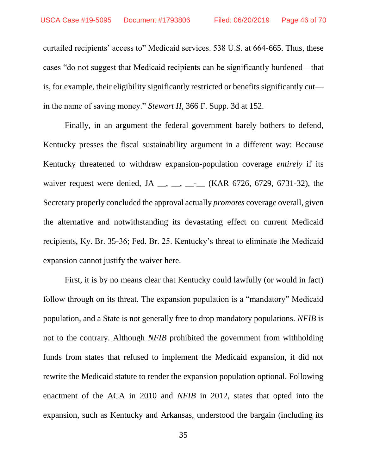curtailed recipients' access to" Medicaid services. 538 U.S. at 664-665. Thus, these cases "do not suggest that Medicaid recipients can be significantly burdened—that is, for example, their eligibility significantly restricted or benefits significantly cut in the name of saving money." *Stewart II*, 366 F. Supp. 3d at 152*.*

Finally, in an argument the federal government barely bothers to defend, Kentucky presses the fiscal sustainability argument in a different way: Because Kentucky threatened to withdraw expansion-population coverage *entirely* if its waiver request were denied, JA  $\_\_\_\_\_\_\_\_\_\_\_\_\_\_\_\_\_\_$  (KAR 6726, 6729, 6731-32), the Secretary properly concluded the approval actually *promotes* coverage overall, given the alternative and notwithstanding its devastating effect on current Medicaid recipients, Ky. Br. 35-36; Fed. Br. 25. Kentucky's threat to eliminate the Medicaid expansion cannot justify the waiver here.

First, it is by no means clear that Kentucky could lawfully (or would in fact) follow through on its threat. The expansion population is a "mandatory" Medicaid population, and a State is not generally free to drop mandatory populations. *NFIB* is not to the contrary. Although *NFIB* prohibited the government from withholding funds from states that refused to implement the Medicaid expansion, it did not rewrite the Medicaid statute to render the expansion population optional. Following enactment of the ACA in 2010 and *NFIB* in 2012, states that opted into the expansion, such as Kentucky and Arkansas, understood the bargain (including its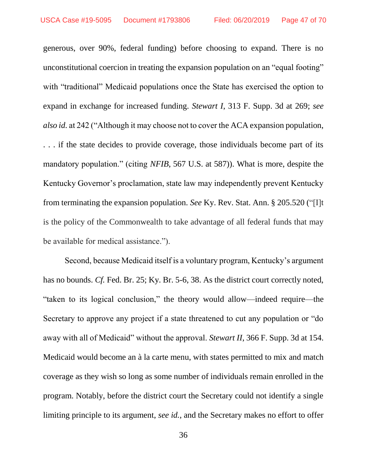generous, over 90%, federal funding) before choosing to expand. There is no unconstitutional coercion in treating the expansion population on an "equal footing" with "traditional" Medicaid populations once the State has exercised the option to expand in exchange for increased funding. *Stewart I*, 313 F. Supp. 3d at 269; *see also id.* at 242 ("Although it may choose not to cover the ACA expansion population, . . . if the state decides to provide coverage, those individuals become part of its mandatory population." (citing *NFIB*, 567 U.S. at 587)). What is more, despite the Kentucky Governor's proclamation, state law may independently prevent Kentucky from terminating the expansion population. *See* Ky. Rev. Stat. Ann. § 205.520 ("[I]t is the policy of the Commonwealth to take advantage of all federal funds that may be available for medical assistance.").

Second, because Medicaid itself is a voluntary program, Kentucky's argument has no bounds. *Cf.* Fed. Br. 25; Ky. Br. 5-6, 38. As the district court correctly noted, "taken to its logical conclusion," the theory would allow—indeed require—the Secretary to approve any project if a state threatened to cut any population or "do away with all of Medicaid" without the approval. *Stewart II*, 366 F. Supp. 3d at 154. Medicaid would become an à la carte menu, with states permitted to mix and match coverage as they wish so long as some number of individuals remain enrolled in the program. Notably, before the district court the Secretary could not identify a single limiting principle to its argument, *see id.*, and the Secretary makes no effort to offer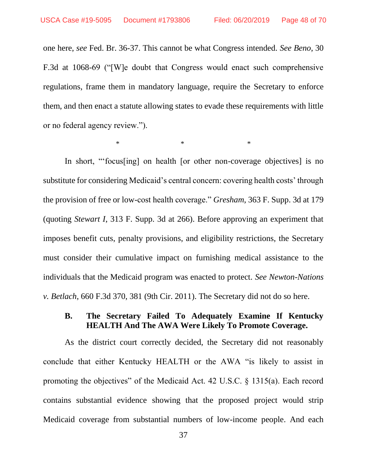one here, *see* Fed. Br. 36-37. This cannot be what Congress intended. *See Beno*, 30 F.3d at 1068-69 ("[W]e doubt that Congress would enact such comprehensive regulations, frame them in mandatory language, require the Secretary to enforce them, and then enact a statute allowing states to evade these requirements with little or no federal agency review.").

 $*$   $*$   $*$ 

In short, "'focus[ing] on health [or other non-coverage objectives] is no substitute for considering Medicaid's central concern: covering health costs' through the provision of free or low-cost health coverage." *Gresham*, 363 F. Supp. 3d at 179 (quoting *Stewart I*, 313 F. Supp. 3d at 266). Before approving an experiment that imposes benefit cuts, penalty provisions, and eligibility restrictions, the Secretary must consider their cumulative impact on furnishing medical assistance to the individuals that the Medicaid program was enacted to protect. *See Newton-Nations v. Betlach*, 660 F.3d 370, 381 (9th Cir. 2011). The Secretary did not do so here.

### **B. The Secretary Failed To Adequately Examine If Kentucky HEALTH And The AWA Were Likely To Promote Coverage.**

As the district court correctly decided, the Secretary did not reasonably conclude that either Kentucky HEALTH or the AWA "is likely to assist in promoting the objectives" of the Medicaid Act. 42 U.S.C. § 1315(a). Each record contains substantial evidence showing that the proposed project would strip Medicaid coverage from substantial numbers of low-income people. And each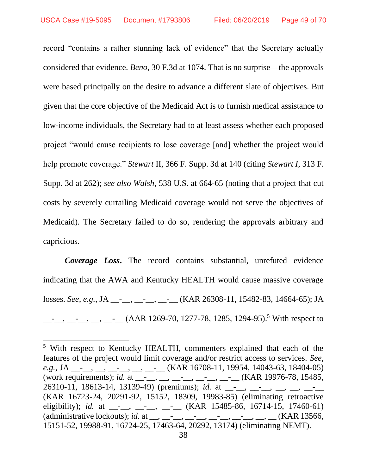$\overline{\phantom{a}}$ 

record "contains a rather stunning lack of evidence" that the Secretary actually considered that evidence. *Beno*, 30 F.3d at 1074. That is no surprise—the approvals were based principally on the desire to advance a different slate of objectives. But given that the core objective of the Medicaid Act is to furnish medical assistance to low-income individuals, the Secretary had to at least assess whether each proposed project "would cause recipients to lose coverage [and] whether the project would help promote coverage." *Stewart* II, 366 F. Supp. 3d at 140 (citing *Stewart I*, 313 F. Supp. 3d at 262); *see also Walsh*, 538 U.S. at 664-65 (noting that a project that cut costs by severely curtailing Medicaid coverage would not serve the objectives of Medicaid). The Secretary failed to do so, rendering the approvals arbitrary and capricious.

*Coverage Loss***.** The record contains substantial, unrefuted evidence indicating that the AWA and Kentucky HEALTH would cause massive coverage losses. *See, e.g.*, JA \_\_-\_\_, \_\_-\_\_, \_\_-\_\_ (KAR 26308-11, 15482-83, 14664-65); JA  $\frac{1}{1-\frac{1}{2}}$ ,  $\frac{1}{1-\frac{1}{2}}$ ,  $\frac{1}{1-\frac{1}{2}}$  (AAR 1269-70, 1277-78, 1285, 1294-95).<sup>5</sup> With respect to

<sup>5</sup> With respect to Kentucky HEALTH, commenters explained that each of the features of the project would limit coverage and/or restrict access to services. *See, e.g.*, JA \_\_\_, \_\_, \_\_, \_\_, \_\_, \_\_\_(KAR 16708-11, 19954, 14043-63, 18404-05) (work requirements); *id.* at \_\_-<sub>\_\_</sub>, \_\_, \_\_-<sub>\_\_</sub>, \_\_-<sub>\_\_</sub>, \_\_-<sub>\_</sub> (KAR 19976-78, 15485, 26310-11, 18613-14, 13139-49) (premiums); *id.* at \_\_-<sub>\_\_</sub>, \_\_, \_\_, \_\_, \_\_, \_\_-(KAR 16723-24, 20291-92, 15152, 18309, 19983-85) (eliminating retroactive eligibility); *id.* at \_\_-<sub>\_\_</sub>, \_\_-<sub>\_\_</sub>, \_\_-<sub>\_</sub> (KAR 15485-86, 16714-15, 17460-61) (administrative lockouts); *id.* at \_\_, \_\_-<sub>\_\_</sub>, \_\_-<sub>\_\_</sub>, \_\_-<sub>\_\_</sub>, \_\_-<sub>\_</sub>, \_\_, \_\_(KAR 13566, 15151-52, 19988-91, 16724-25, 17463-64, 20292, 13174) (eliminating NEMT).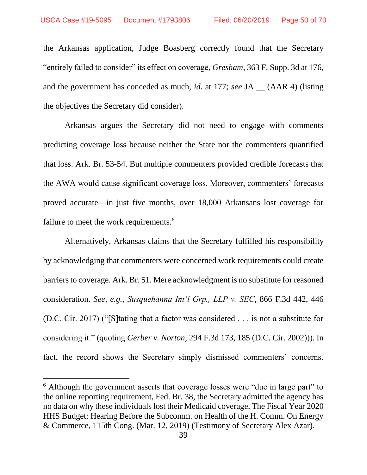$\overline{\phantom{a}}$ 

the Arkansas application, Judge Boasberg correctly found that the Secretary "entirely failed to consider" its effect on coverage, *Gresham*, 363 F. Supp. 3d at 176, and the government has conceded as much, *id.* at 177; *see* JA \_\_ (AAR 4) (listing the objectives the Secretary did consider).

Arkansas argues the Secretary did not need to engage with comments predicting coverage loss because neither the State nor the commenters quantified that loss. Ark. Br. 53-54. But multiple commenters provided credible forecasts that the AWA would cause significant coverage loss. Moreover, commenters' forecasts proved accurate—in just five months, over 18,000 Arkansans lost coverage for failure to meet the work requirements.<sup>6</sup>

Alternatively, Arkansas claims that the Secretary fulfilled his responsibility by acknowledging that commenters were concerned work requirements could create barriers to coverage. Ark. Br. 51. Mere acknowledgment is no substitute for reasoned consideration. *See, e.g.*, *Susquehanna Int'l Grp., LLP v. SEC*, 866 F.3d 442, 446 (D.C. Cir. 2017) ("[S]tating that a factor was considered . . . is not a substitute for considering it." (quoting *Gerber v. Norton*, 294 F.3d 173, 185 (D.C. Cir. 2002))). In fact, the record shows the Secretary simply dismissed commenters' concerns.

<sup>&</sup>lt;sup>6</sup> Although the government asserts that coverage losses were "due in large part" to the online reporting requirement, Fed. Br. 38, the Secretary admitted the agency has no data on why these individuals lost their Medicaid coverage, The Fiscal Year 2020 HHS Budget: Hearing Before the Subcomm. on Health of the H. Comm. On Energy & Commerce, 115th Cong. (Mar. 12, 2019) (Testimony of Secretary Alex Azar).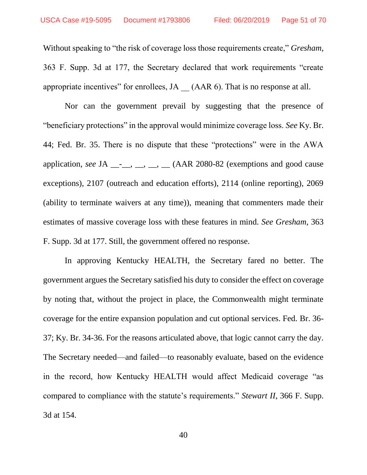Without speaking to "the risk of coverage loss those requirements create," *Gresham*, 363 F. Supp. 3d at 177, the Secretary declared that work requirements "create appropriate incentives" for enrollees, JA \_\_ (AAR 6). That is no response at all.

Nor can the government prevail by suggesting that the presence of "beneficiary protections" in the approval would minimize coverage loss. *See* Ky. Br. 44; Fed. Br. 35. There is no dispute that these "protections" were in the AWA application, *see* JA  $\_\_\_\_\_\_\_\_\_\_\_\_\_\_\_\_\_\_$  (AAR 2080-82 (exemptions and good cause exceptions), 2107 (outreach and education efforts), 2114 (online reporting), 2069 (ability to terminate waivers at any time)), meaning that commenters made their estimates of massive coverage loss with these features in mind. *See Gresham*, 363 F. Supp. 3d at 177. Still, the government offered no response.

In approving Kentucky HEALTH, the Secretary fared no better. The government argues the Secretary satisfied his duty to consider the effect on coverage by noting that, without the project in place, the Commonwealth might terminate coverage for the entire expansion population and cut optional services. Fed. Br. 36- 37; Ky. Br. 34-36. For the reasons articulated above, that logic cannot carry the day. The Secretary needed—and failed—to reasonably evaluate, based on the evidence in the record, how Kentucky HEALTH would affect Medicaid coverage "as compared to compliance with the statute's requirements." *Stewart II*, 366 F. Supp. 3d at 154.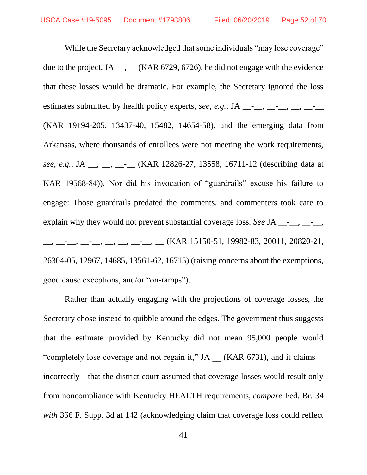While the Secretary acknowledged that some individuals "may lose coverage" due to the project, JA  $\_,$   $\_$  (KAR 6729, 6726), he did not engage with the evidence that these losses would be dramatic. For example, the Secretary ignored the loss estimates submitted by health policy experts, *see, e.g.*, JA  $\_\_$ ,  $\_\_$ ,  $\_\_$ ,  $\_\_$ ,  $\_\_$ (KAR 19194-205, 13437-40, 15482, 14654-58), and the emerging data from Arkansas, where thousands of enrollees were not meeting the work requirements, *see, e.g.*, JA \_\_, \_\_, \_\_-\_\_ (KAR 12826-27, 13558, 16711-12 (describing data at KAR 19568-84)). Nor did his invocation of "guardrails" excuse his failure to engage: Those guardrails predated the comments, and commenters took care to explain why they would not prevent substantial coverage loss. *See* JA \_\_-<sub>\_\_</sub>, \_\_-<sub>\_\_</sub>,  $\frac{1}{2}, \frac{1}{2}, \frac{1}{2}, \frac{1}{2}, \frac{1}{2}, \frac{1}{2}, \frac{1}{2}, \frac{1}{2}, \frac{1}{2}, \frac{1}{2}, \frac{1}{2}$  (KAR 15150-51, 19982-83, 20011, 20820-21, 26304-05, 12967, 14685, 13561-62, 16715) (raising concerns about the exemptions, good cause exceptions, and/or "on-ramps").

Rather than actually engaging with the projections of coverage losses, the Secretary chose instead to quibble around the edges. The government thus suggests that the estimate provided by Kentucky did not mean 95,000 people would "completely lose coverage and not regain it," JA (KAR 6731), and it claims incorrectly—that the district court assumed that coverage losses would result only from noncompliance with Kentucky HEALTH requirements, *compare* Fed. Br. 34 *with* 366 F. Supp. 3d at 142 (acknowledging claim that coverage loss could reflect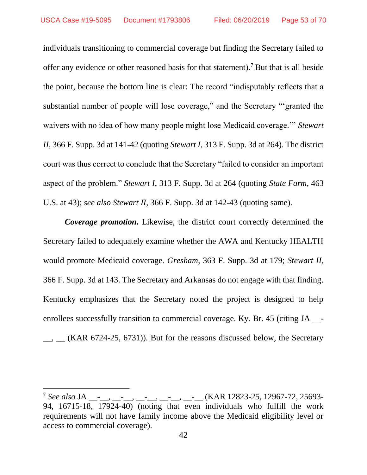individuals transitioning to commercial coverage but finding the Secretary failed to offer any evidence or other reasoned basis for that statement).<sup>7</sup> But that is all beside the point, because the bottom line is clear: The record "indisputably reflects that a substantial number of people will lose coverage," and the Secretary "'granted the waivers with no idea of how many people might lose Medicaid coverage.'" *Stewart II*, 366 F. Supp. 3d at 141-42 (quoting *Stewart I*, 313 F. Supp. 3d at 264). The district court was thus correct to conclude that the Secretary "failed to consider an important aspect of the problem." *Stewart I*, 313 F. Supp. 3d at 264 (quoting *State Farm*, 463 U.S. at 43); *see also Stewart II*, 366 F. Supp. 3d at 142-43 (quoting same).

*Coverage promotion***.** Likewise, the district court correctly determined the Secretary failed to adequately examine whether the AWA and Kentucky HEALTH would promote Medicaid coverage. *Gresham*, 363 F. Supp. 3d at 179; *Stewart II*, 366 F. Supp. 3d at 143. The Secretary and Arkansas do not engage with that finding. Kentucky emphasizes that the Secretary noted the project is designed to help enrollees successfully transition to commercial coverage. Ky. Br. 45 (citing JA \_\_-  $\Box$ ,  $\Box$  (KAR 6724-25, 6731)). But for the reasons discussed below, the Secretary

 $\overline{\phantom{a}}$ 

<sup>&</sup>lt;sup>7</sup> See also JA \_\_-<sub>\_\_,</sub> \_\_-<sub>\_\_,</sub> \_\_-<sub>\_\_,</sub> \_\_-<sub>\_\_,</sub> \_\_-<sub>\_\_</sub>, (KAR 12823-25, 12967-72, 25693-94, 16715-18, 17924-40) (noting that even individuals who fulfill the work requirements will not have family income above the Medicaid eligibility level or access to commercial coverage).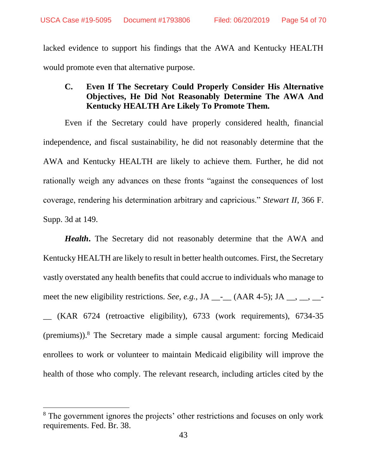lacked evidence to support his findings that the AWA and Kentucky HEALTH would promote even that alternative purpose.

# **C. Even If The Secretary Could Properly Consider His Alternative Objectives, He Did Not Reasonably Determine The AWA And Kentucky HEALTH Are Likely To Promote Them.**

Even if the Secretary could have properly considered health, financial independence, and fiscal sustainability, he did not reasonably determine that the AWA and Kentucky HEALTH are likely to achieve them. Further, he did not rationally weigh any advances on these fronts "against the consequences of lost coverage, rendering his determination arbitrary and capricious." *Stewart II*, 366 F. Supp. 3d at 149.

*Health***.** The Secretary did not reasonably determine that the AWA and Kentucky HEALTH are likely to result in better health outcomes. First, the Secretary vastly overstated any health benefits that could accrue to individuals who manage to meet the new eligibility restrictions. *See, e.g.*, JA  $\_\_$  (AAR 4-5); JA  $\_\_$ ,  $\_\_$ 

\_\_ (KAR 6724 (retroactive eligibility), 6733 (work requirements), 6734-35 (premiums)).<sup>8</sup> The Secretary made a simple causal argument: forcing Medicaid enrollees to work or volunteer to maintain Medicaid eligibility will improve the health of those who comply. The relevant research, including articles cited by the

 $\overline{\phantom{a}}$ 

<sup>&</sup>lt;sup>8</sup> The government ignores the projects' other restrictions and focuses on only work requirements. Fed. Br. 38.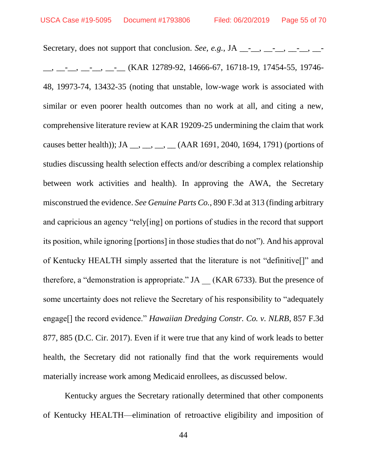Secretary, does not support that conclusion. *See, e.g.*, JA  $\_\_$ ,  $\_\_$ ,  $\_\_$ ,  $\_\_$ ,  $\_\_$  $\frac{1}{2}$ ,  $\frac{1}{2}$ ,  $\frac{1}{2}$ ,  $\frac{1}{2}$ ,  $\frac{1}{2}$  (KAR 12789-92, 14666-67, 16718-19, 17454-55, 19746-48, 19973-74, 13432-35 (noting that unstable, low-wage work is associated with similar or even poorer health outcomes than no work at all, and citing a new, comprehensive literature review at KAR 19209-25 undermining the claim that work causes better health)); JA  $_{\text{...}}, \text{...}, \text{...}$  (AAR 1691, 2040, 1694, 1791) (portions of studies discussing health selection effects and/or describing a complex relationship between work activities and health). In approving the AWA, the Secretary misconstrued the evidence. *See Genuine Parts Co.*, 890 F.3d at 313 (finding arbitrary and capricious an agency "rely[ing] on portions of studies in the record that support its position, while ignoring [portions] in those studies that do not"). And his approval of Kentucky HEALTH simply asserted that the literature is not "definitive[]" and therefore, a "demonstration is appropriate." JA \_\_ (KAR 6733). But the presence of some uncertainty does not relieve the Secretary of his responsibility to "adequately engage[] the record evidence." *Hawaiian Dredging Constr. Co. v. NLRB*, 857 F.3d 877, 885 (D.C. Cir. 2017). Even if it were true that any kind of work leads to better health, the Secretary did not rationally find that the work requirements would materially increase work among Medicaid enrollees, as discussed below.

Kentucky argues the Secretary rationally determined that other components of Kentucky HEALTH—elimination of retroactive eligibility and imposition of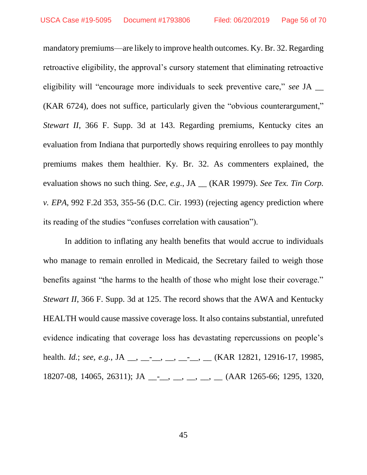mandatory premiums—are likely to improve health outcomes. Ky. Br. 32. Regarding retroactive eligibility, the approval's cursory statement that eliminating retroactive eligibility will "encourage more individuals to seek preventive care," *see* JA \_\_ (KAR 6724), does not suffice, particularly given the "obvious counterargument," *Stewart II*, 366 F. Supp. 3d at 143. Regarding premiums, Kentucky cites an evaluation from Indiana that purportedly shows requiring enrollees to pay monthly premiums makes them healthier. Ky. Br. 32. As commenters explained, the evaluation shows no such thing. *See, e.g.*, JA \_\_ (KAR 19979). *See Tex. Tin Corp. v. EPA*, 992 F.2d 353, 355-56 (D.C. Cir. 1993) (rejecting agency prediction where its reading of the studies "confuses correlation with causation").

In addition to inflating any health benefits that would accrue to individuals who manage to remain enrolled in Medicaid, the Secretary failed to weigh those benefits against "the harms to the health of those who might lose their coverage." *Stewart II*, 366 F. Supp. 3d at 125. The record shows that the AWA and Kentucky HEALTH would cause massive coverage loss. It also contains substantial, unrefuted evidence indicating that coverage loss has devastating repercussions on people's health. *Id.*; *see, e.g.*, JA \_\_, \_\_-<sub>\_\_</sub>, \_\_, \_\_-<sub>\_\_</sub>, \_\_ (KAR 12821, 12916-17, 19985, 18207-08, 14065, 26311); JA \_\_-\_\_, \_\_, \_\_, \_\_, \_\_(AAR 1265-66; 1295, 1320,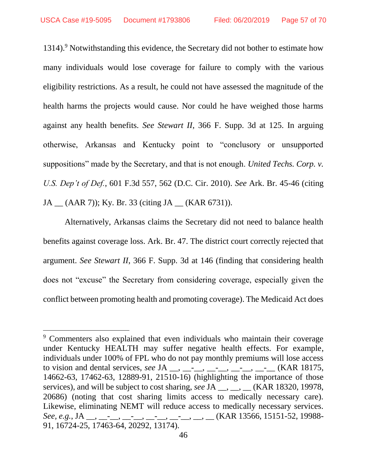1314).<sup>9</sup> Notwithstanding this evidence, the Secretary did not bother to estimate how many individuals would lose coverage for failure to comply with the various eligibility restrictions. As a result, he could not have assessed the magnitude of the health harms the projects would cause. Nor could he have weighed those harms against any health benefits. *See Stewart II*, 366 F. Supp. 3d at 125. In arguing otherwise, Arkansas and Kentucky point to "conclusory or unsupported suppositions" made by the Secretary, and that is not enough. *United Techs. Corp. v. U.S. Dep't of Def.*, 601 F.3d 557, 562 (D.C. Cir. 2010). *See* Ark. Br. 45-46 (citing JA \_\_ (AAR 7)); Ky. Br. 33 (citing JA \_\_ (KAR 6731)).

Alternatively, Arkansas claims the Secretary did not need to balance health benefits against coverage loss. Ark. Br. 47. The district court correctly rejected that argument. *See Stewart II*, 366 F. Supp. 3d at 146 (finding that considering health does not "excuse" the Secretary from considering coverage, especially given the conflict between promoting health and promoting coverage). The Medicaid Act does

 $\overline{a}$ 

<sup>9</sup> Commenters also explained that even individuals who maintain their coverage under Kentucky HEALTH may suffer negative health effects. For example, individuals under 100% of FPL who do not pay monthly premiums will lose access to vision and dental services, *see* JA \_\_, \_\_-\_\_, \_\_-\_\_, \_\_-\_\_, \_\_-\_\_ (KAR 18175, 14662-63, 17462-63, 12889-91, 21510-16) (highlighting the importance of those services), and will be subject to cost sharing, *see* JA \_\_, \_\_, \_\_(KAR 18320, 19978, 20686) (noting that cost sharing limits access to medically necessary care). Likewise, eliminating NEMT will reduce access to medically necessary services. *See, e.g.*, JA \_\_, \_\_-\_\_, \_\_-\_\_, \_\_-\_\_, \_\_-\_\_, \_\_, \_\_ (KAR 13566, 15151-52, 19988- 91, 16724-25, 17463-64, 20292, 13174).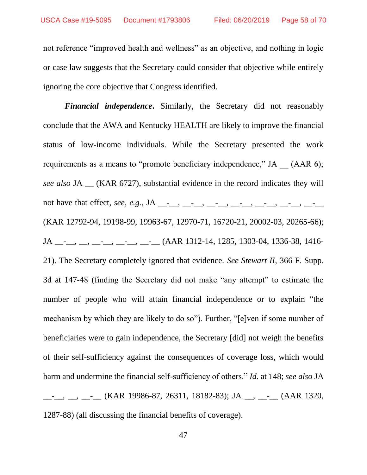not reference "improved health and wellness" as an objective, and nothing in logic or case law suggests that the Secretary could consider that objective while entirely ignoring the core objective that Congress identified.

*Financial independence***.** Similarly, the Secretary did not reasonably conclude that the AWA and Kentucky HEALTH are likely to improve the financial status of low-income individuals. While the Secretary presented the work requirements as a means to "promote beneficiary independence," JA (AAR 6); *see also* JA \_\_ (KAR 6727), substantial evidence in the record indicates they will not have that effect, *see*, *e.g.*, JA \_\_-<sub>\_\_</sub>, \_\_-<sub>\_\_</sub>, \_\_-<sub>\_\_</sub>, \_\_-<sub>\_\_</sub>, \_\_-<sub>\_</sub>\_, \_\_-<sub>\_</sub>\_, \_\_-(KAR 12792-94, 19198-99, 19963-67, 12970-71, 16720-21, 20002-03, 20265-66); JA \_\_\_, \_\_, \_\_, \_\_, \_\_, \_\_\_, (AAR 1312-14, 1285, 1303-04, 1336-38, 1416-21). The Secretary completely ignored that evidence. *See Stewart II*, 366 F. Supp. 3d at 147-48 (finding the Secretary did not make "any attempt" to estimate the number of people who will attain financial independence or to explain "the mechanism by which they are likely to do so"). Further, "[e]ven if some number of beneficiaries were to gain independence, the Secretary [did] not weigh the benefits of their self-sufficiency against the consequences of coverage loss, which would harm and undermine the financial self-sufficiency of others." *Id.* at 148; *see also* JA  $\frac{1}{1}$ ,  $\frac{1}{1}$ ,  $\frac{1}{1}$ ,  $\frac{1}{1}$  (KAR 19986-87, 26311, 18182-83); JA  $\frac{1}{1}$ ,  $\frac{1}{1}$  (AAR 1320, 1287-88) (all discussing the financial benefits of coverage).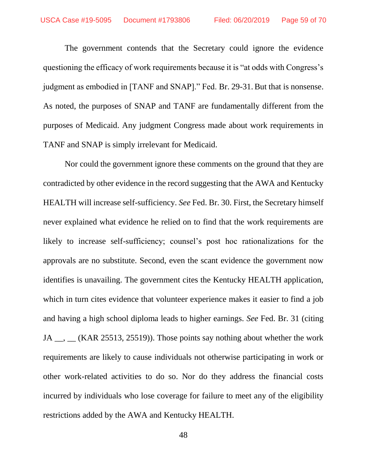The government contends that the Secretary could ignore the evidence questioning the efficacy of work requirements because it is "at odds with Congress's judgment as embodied in [TANF and SNAP]." Fed. Br. 29-31. But that is nonsense. As noted, the purposes of SNAP and TANF are fundamentally different from the purposes of Medicaid. Any judgment Congress made about work requirements in TANF and SNAP is simply irrelevant for Medicaid.

Nor could the government ignore these comments on the ground that they are contradicted by other evidence in the record suggesting that the AWA and Kentucky HEALTH will increase self-sufficiency. *See* Fed. Br. 30. First, the Secretary himself never explained what evidence he relied on to find that the work requirements are likely to increase self-sufficiency; counsel's post hoc rationalizations for the approvals are no substitute. Second, even the scant evidence the government now identifies is unavailing. The government cites the Kentucky HEALTH application, which in turn cites evidence that volunteer experience makes it easier to find a job and having a high school diploma leads to higher earnings. *See* Fed. Br. 31 (citing JA <sub>\_\_</sub>, \_\_ (KAR 25513, 25519)). Those points say nothing about whether the work requirements are likely to cause individuals not otherwise participating in work or other work-related activities to do so. Nor do they address the financial costs incurred by individuals who lose coverage for failure to meet any of the eligibility restrictions added by the AWA and Kentucky HEALTH.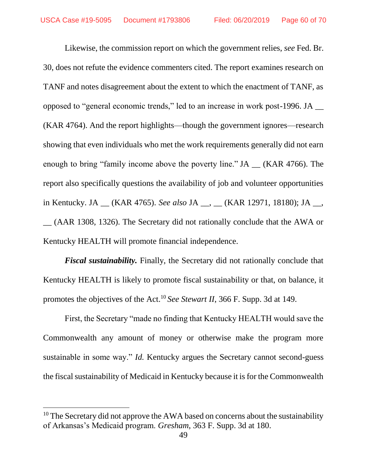Likewise, the commission report on which the government relies, *see* Fed. Br. 30, does not refute the evidence commenters cited. The report examines research on TANF and notes disagreement about the extent to which the enactment of TANF, as opposed to "general economic trends," led to an increase in work post-1996. JA \_\_ (KAR 4764). And the report highlights—though the government ignores—research showing that even individuals who met the work requirements generally did not earn enough to bring "family income above the poverty line." JA \_\_ (KAR 4766). The report also specifically questions the availability of job and volunteer opportunities in Kentucky. JA \_\_ (KAR 4765). *See also* JA \_\_, \_\_ (KAR 12971, 18180); JA \_\_, \_\_ (AAR 1308, 1326). The Secretary did not rationally conclude that the AWA or Kentucky HEALTH will promote financial independence.

*Fiscal sustainability.* Finally, the Secretary did not rationally conclude that Kentucky HEALTH is likely to promote fiscal sustainability or that, on balance, it promotes the objectives of the Act.<sup>10</sup> *See Stewart II*, 366 F. Supp. 3d at 149.

First, the Secretary "made no finding that Kentucky HEALTH would save the Commonwealth any amount of money or otherwise make the program more sustainable in some way." *Id.* Kentucky argues the Secretary cannot second-guess the fiscal sustainability of Medicaid in Kentucky because it is for the Commonwealth

 $\overline{\phantom{a}}$ 

 $10$  The Secretary did not approve the AWA based on concerns about the sustainability of Arkansas's Medicaid program. *Gresham*, 363 F. Supp. 3d at 180.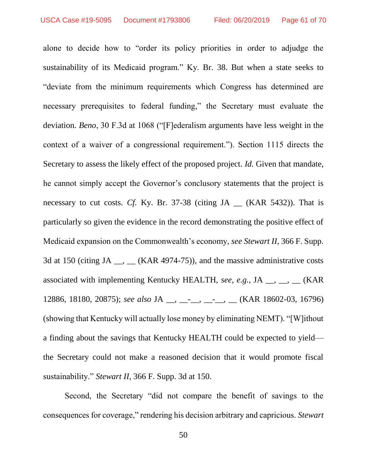alone to decide how to "order its policy priorities in order to adjudge the sustainability of its Medicaid program." Ky. Br. 38. But when a state seeks to "deviate from the minimum requirements which Congress has determined are necessary prerequisites to federal funding," the Secretary must evaluate the deviation. *Beno*, 30 F.3d at 1068 ("[F]ederalism arguments have less weight in the context of a waiver of a congressional requirement."). Section 1115 directs the Secretary to assess the likely effect of the proposed project. *Id.* Given that mandate, he cannot simply accept the Governor's conclusory statements that the project is necessary to cut costs. *Cf.* Ky. Br. 37-38 (citing JA \_\_ (KAR 5432)). That is particularly so given the evidence in the record demonstrating the positive effect of Medicaid expansion on the Commonwealth's economy, *see Stewart II*, 366 F. Supp. 3d at 150 (citing JA  $\_\_\_\_\_\_\_\_\$  (KAR 4974-75)), and the massive administrative costs associated with implementing Kentucky HEALTH, *see, e.g.*, JA <sub>\_\_</sub>, \_\_, \_\_ (KAR 12886, 18180, 20875); *see also* JA \_\_, \_\_-\_\_, \_\_-\_\_, \_\_ (KAR 18602-03, 16796) (showing that Kentucky will actually lose money by eliminating NEMT). "[W]ithout a finding about the savings that Kentucky HEALTH could be expected to yield the Secretary could not make a reasoned decision that it would promote fiscal sustainability." *Stewart II*, 366 F. Supp. 3d at 150.

Second, the Secretary "did not compare the benefit of savings to the consequences for coverage," rendering his decision arbitrary and capricious. *Stewart*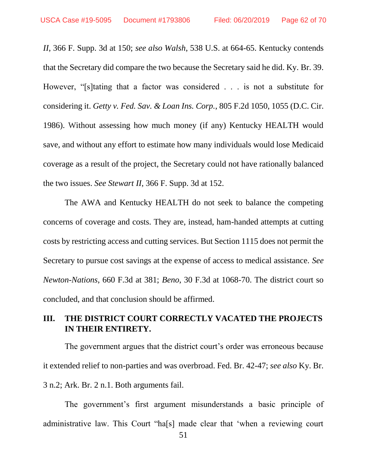*II*, 366 F. Supp. 3d at 150; *see also Walsh*, 538 U.S. at 664-65. Kentucky contends that the Secretary did compare the two because the Secretary said he did. Ky. Br. 39. However, "[s]tating that a factor was considered . . . is not a substitute for considering it. *Getty v. Fed. Sav. & Loan Ins. Corp.*[, 805 F.2d 1050, 1055](https://1.next.westlaw.com/Link/Document/FullText?findType=Y&serNum=1986157574&pubNum=0000350&originatingDoc=I611981c07bec11e8b29df1bcacd7c41c&refType=RP&fi=co_pp_sp_350_1055&originationContext=document&transitionType=DocumentItem&contextData=(sc.Default)#co_pp_sp_350_1055) (D.C. Cir. 1986). Without assessing how much money (if any) Kentucky HEALTH would save, and without any effort to estimate how many individuals would lose Medicaid coverage as a result of the project, the Secretary could not have rationally balanced the two issues. *See Stewart II*, 366 F. Supp. 3d at 152.

The AWA and Kentucky HEALTH do not seek to balance the competing concerns of coverage and costs. They are, instead, ham-handed attempts at cutting costs by restricting access and cutting services. But Section 1115 does not permit the Secretary to pursue cost savings at the expense of access to medical assistance. *See Newton-Nations*, 660 F.3d at 381; *Beno*, 30 F.3d at 1068-70. The district court so concluded, and that conclusion should be affirmed.

# **III. THE DISTRICT COURT CORRECTLY VACATED THE PROJECTS IN THEIR ENTIRETY.**

The government argues that the district court's order was erroneous because it extended relief to non-parties and was overbroad. Fed. Br. 42-47; *see also* Ky. Br. 3 n.2; Ark. Br. 2 n.1. Both arguments fail.

The government's first argument misunderstands a basic principle of administrative law. This Court "ha[s] made clear that 'when a reviewing court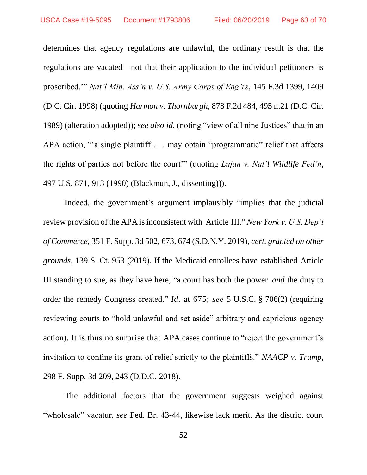determines that agency regulations are unlawful, the ordinary result is that the regulations are vacated—not that their application to the individual petitioners is proscribed.'" *Nat'l Min. Ass'n v. U.S. Army Corps of Eng'rs*, 145 F.3d 1399, 1409 (D.C. Cir. 1998) (quoting *Harmon v. Thornburgh*, 878 F.2d 484, 495 n.21 (D.C. Cir. 1989) (alteration adopted)); *see also id.* (noting "view of all nine Justices" that in an APA action, "'a single plaintiff . . . may obtain "programmatic" relief that affects the rights of parties not before the court'" (quoting *Lujan v. Nat'l Wildlife Fed'n*, 497 U.S. 871, 913 (1990) (Blackmun, J., dissenting))).

Indeed, the government's argument implausibly "implies that the judicial review provision of the APA isinconsistent with Article III." *New York v. U.S. Dep't of Commerce*, 351 F. Supp. 3d 502, 673, 674 (S.D.N.Y. 2019), *cert. granted on other grounds*, 139 S. Ct. 953 (2019). If the Medicaid enrollees have established Article III standing to sue, as they have here, "a court has both the power *and* the duty to order the remedy Congress created." *Id.* at 675; *see* 5 U.S.C. § 706(2) (requiring reviewing courts to "hold unlawful and set aside" arbitrary and capricious agency action). It is thus no surprise that APA cases continue to "reject the government's invitation to confine its grant of relief strictly to the plaintiffs." *NAACP v. Trump*, 298 F. Supp. 3d 209, 243 (D.D.C. 2018).

The additional factors that the government suggests weighed against "wholesale" vacatur, *see* Fed. Br. 43-44, likewise lack merit. As the district court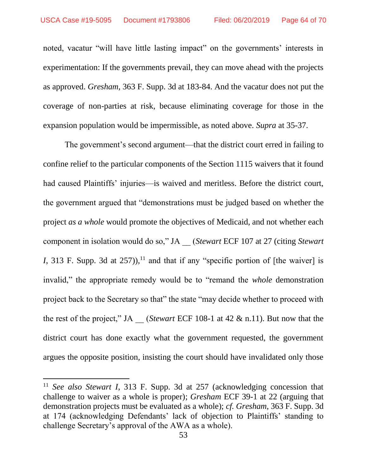noted, vacatur "will have little lasting impact" on the governments' interests in experimentation: If the governments prevail, they can move ahead with the projects as approved. *Gresham*, 363 F. Supp. 3d at 183-84. And the vacatur does not put the coverage of non-parties at risk, because eliminating coverage for those in the expansion population would be impermissible, as noted above. *Supra* at 35-37.

The government's second argument—that the district court erred in failing to confine relief to the particular components of the Section 1115 waivers that it found had caused Plaintiffs' injuries—is waived and meritless. Before the district court, the government argued that "demonstrations must be judged based on whether the project *as a whole* would promote the objectives of Medicaid, and not whether each component in isolation would do so," JA \_\_ (*Stewart* ECF 107 at 27 (citing *Stewart I*, 313 F. Supp. 3d at  $257$ )),<sup>11</sup> and that if any "specific portion of [the waiver] is invalid," the appropriate remedy would be to "remand the *whole* demonstration project back to the Secretary so that" the state "may decide whether to proceed with the rest of the project," JA \_\_ (*Stewart* ECF 108-1 at 42 & n.11). But now that the district court has done exactly what the government requested, the government argues the opposite position, insisting the court should have invalidated only those

 $\overline{\phantom{a}}$ 

<sup>11</sup> *See also Stewart I*, 313 F. Supp. 3d at 257 (acknowledging concession that challenge to waiver as a whole is proper); *Gresham* ECF 39-1 at 22 (arguing that demonstration projects must be evaluated as a whole); *cf. Gresham*, 363 F. Supp. 3d at 174 (acknowledging Defendants' lack of objection to Plaintiffs' standing to challenge Secretary's approval of the AWA as a whole).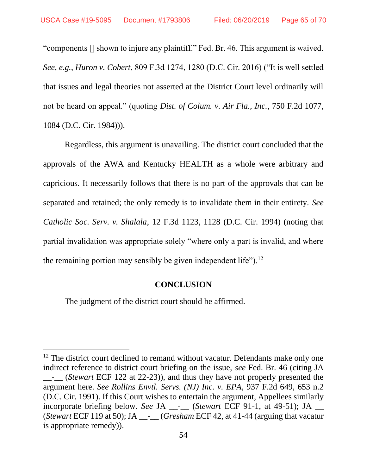"components [] shown to injure any plaintiff." Fed. Br. 46. This argument is waived. *See, e.g.*, *Huron v. Cobert*, 809 F.3d 1274, 1280 (D.C. Cir. 2016) ("It is well settled that issues and legal theories not asserted at the District Court level ordinarily will not be heard on appeal." (quoting *Dist. of Colum. v. Air Fla., Inc.*, 750 F.2d 1077, 1084 (D.C. Cir. 1984))).

Regardless, this argument is unavailing. The district court concluded that the approvals of the AWA and Kentucky HEALTH as a whole were arbitrary and capricious. It necessarily follows that there is no part of the approvals that can be separated and retained; the only remedy is to invalidate them in their entirety. *See Catholic Soc. Serv. v. Shalala*, 12 F.3d 1123, 1128 (D.C. Cir. 1994) (noting that partial invalidation was appropriate solely "where only a part is invalid, and where the remaining portion may sensibly be given independent life").<sup>12</sup>

#### **CONCLUSION**

The judgment of the district court should be affirmed.

 $\overline{\phantom{a}}$ 

<sup>&</sup>lt;sup>12</sup> The district court declined to remand without vacatur. Defendants make only one indirect reference to district court briefing on the issue, *see* Fed. Br. 46 (citing JA \_\_-\_\_ (*Stewart* ECF 122 at 22-23)), and thus they have not properly presented the argument here. *See Rollins Envtl. Servs. (NJ) Inc. v. EPA*, 937 F.2d 649, 653 n.2 (D.C. Cir. 1991). If this Court wishes to entertain the argument, Appellees similarly incorporate briefing below. *See* JA \_\_-\_\_ (*Stewart* ECF 91-1, at 49-51); JA \_\_ (*Stewart* ECF 119 at 50); JA \_\_-\_\_ (*Gresham* ECF 42, at 41-44 (arguing that vacatur is appropriate remedy)).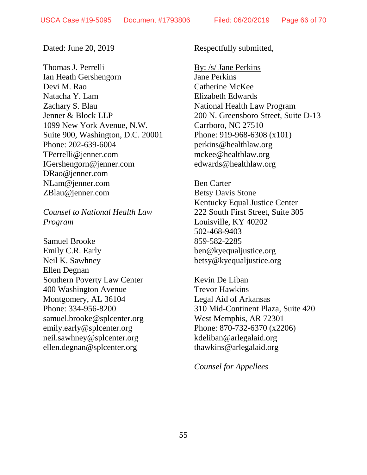Dated: June 20, 2019

Thomas J. Perrelli Ian Heath Gershengorn Devi M. Rao Natacha Y. Lam Zachary S. Blau Jenner & Block LLP 1099 New York Avenue, N.W. Suite 900, Washington, D.C. 20001 Phone: 202-639-6004 TPerrelli@jenner.com IGershengorn@jenner.com DRao@jenner.com NLam@jenner.com ZBlau@jenner.com

*Counsel to National Health Law Program*

Samuel Brooke Emily C.R. Early Neil K. Sawhney Ellen Degnan Southern Poverty Law Center 400 Washington Avenue Montgomery, AL 36104 Phone: 334-956-8200 samuel.brooke@splcenter.org emily.early@splcenter.org [neil.sawhney@splcenter.org](mailto:neil.sawhney@splcenter.org) ellen.degnan@splcenter.org

Respectfully submitted,

By: /s/ Jane Perkins Jane Perkins Catherine McKee Elizabeth Edwards National Health Law Program 200 N. Greensboro Street, Suite D-13 Carrboro, NC 27510 Phone: 919-968-6308 (x101) perkins@healthlaw.org [mckee@healthlaw.org](mailto:mckee@healthlaw.org) [edwards@healthlaw.org](mailto:edwards@healthlaw.org)

Ben Carter Betsy Davis Stone Kentucky Equal Justice Center 222 South First Street, Suite 305 Louisville, KY 40202 502-468-9403 859-582-2285 ben@kyequaljustice.org betsy@kyequaljustice.org

Kevin De Liban Trevor Hawkins Legal Aid of Arkansas 310 Mid-Continent Plaza, Suite 420 West Memphis, AR 72301 Phone: 870-732-6370 (x2206) [kdeliban@arlegalaid.org](mailto:kdeliban@arlegalaid.org) thawkins@arlegalaid.org

*Counsel for Appellees*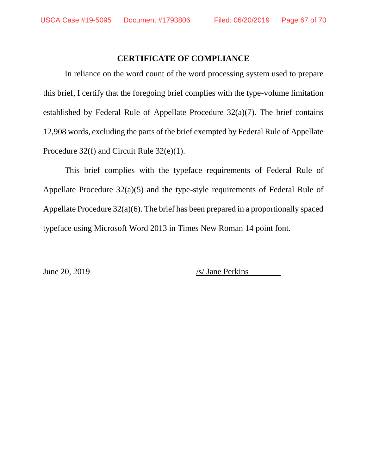## **CERTIFICATE OF COMPLIANCE**

In reliance on the word count of the word processing system used to prepare this brief, I certify that the foregoing brief complies with the type-volume limitation established by Federal Rule of Appellate Procedure 32(a)(7). The brief contains 12,908 words, excluding the parts of the brief exempted by Federal Rule of Appellate Procedure 32(f) and Circuit Rule 32(e)(1).

This brief complies with the typeface requirements of Federal Rule of Appellate Procedure 32(a)(5) and the type-style requirements of Federal Rule of Appellate Procedure 32(a)(6). The brief has been prepared in a proportionally spaced typeface using Microsoft Word 2013 in Times New Roman 14 point font.

June 20, 2019  $\sqrt{s}$  Jane Perkins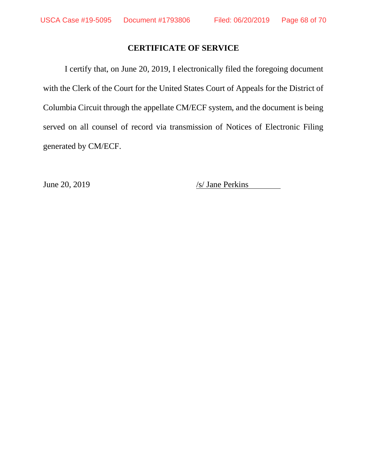## **CERTIFICATE OF SERVICE**

I certify that, on June 20, 2019, I electronically filed the foregoing document with the Clerk of the Court for the United States Court of Appeals for the District of Columbia Circuit through the appellate CM/ECF system, and the document is being served on all counsel of record via transmission of Notices of Electronic Filing generated by CM/ECF.

June 20, 2019 /s/ Jane Perkins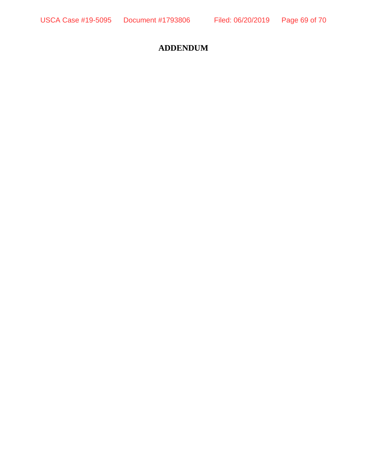# **ADDENDUM**